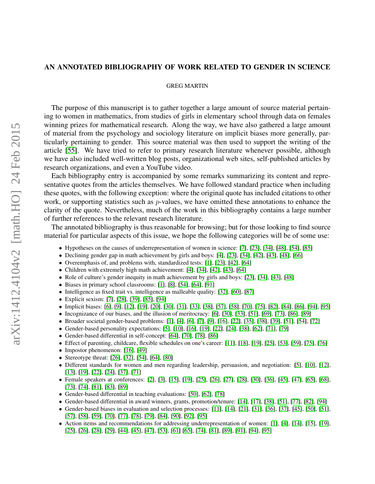## AN ANNOTATED BIBLIOGRAPHY OF WORK RELATED TO GENDER IN SCIENCE

#### GREG MARTIN

The purpose of this manuscript is to gather together a large amount of source material pertaining to women in mathematics, from studies of girls in elementary school through data on females winning prizes for mathematical research. Along the way, we have also gathered a large amount of material from the psychology and sociology literature on implicit biases more generally, particularly pertaining to gender. This source material was then used to support the writing of the article [\[55\]](#page-17-0). We have tried to refer to primary research literature whenever possible, although we have also included well-written blog posts, organizational web sites, self-published articles by research organizations, and even a YouTube video.

Each bibliography entry is accompanied by some remarks summarizing its content and representative quotes from the articles themselves. We have followed standard practice when including these quotes, with the following exception: where the original quote has included citations to other work, or supporting statistics such as *p*-values, we have omitted these annotations to enhance the clarity of the quote. Nevertheless, much of the work in this bibliography contains a large number of further references to the relevant research literature.

The annotated bibliography is thus reasonable for browsing; but for those looking to find source material for particular aspects of this issue, we hope the following categories will be of some use:

- Hypotheses on the causes of underrepresentation of women in science: [\[7\]](#page-3-0), [\[23\]](#page-8-0), [\[34\]](#page-11-0), [\[48\]](#page-15-0), [\[54\]](#page-17-1), [\[85\]](#page-26-0)
- Declining gender gap in math achievement by girls and boys: [\[4\]](#page-2-0), [\[23\]](#page-8-0), [\[34\]](#page-11-0), [\[42\]](#page-13-0), [\[43\]](#page-14-0), [\[48\]](#page-15-0), [\[66\]](#page-20-0)
- Overemphasis of, and problems with, standardized tests: [\[1\]](#page-1-0), [\[23\]](#page-8-0), [\[42\]](#page-13-0), [\[64\]](#page-19-0)
- Children with extremely high math achievement: [\[4\]](#page-2-0), [\[34\]](#page-11-0), [\[42\]](#page-13-0), [\[43\]](#page-14-0), [\[64\]](#page-19-0)
- Role of culture's gender inequity in math achievement by girls and boys: [\[23\]](#page-8-0), [\[34\]](#page-11-0), [\[43\]](#page-14-0), [\[48\]](#page-15-0)
- Biases in primary school classrooms: [\[1\]](#page-1-0), [\[8\]](#page-3-1), [\[54\]](#page-17-1), [\[64\]](#page-19-0), [\[91\]](#page-28-0)
- Intelligence as fixed trait vs. intelligence as malleable quality: [\[32\]](#page-11-1), [\[60\]](#page-18-0), [\[87\]](#page-27-0)
- Explicit sexism: [\[7\]](#page-3-0), [\[28\]](#page-10-0), [\[39\]](#page-13-1), [\[85\]](#page-26-0), [\[94\]](#page-28-1)
- Implicit biases: [\[6\]](#page-3-2), [\[9\]](#page-4-0), [\[12\]](#page-4-1), [\[19\]](#page-6-0), [\[20\]](#page-7-0), [\[30\]](#page-10-1), [\[31\]](#page-11-2), [\[33\]](#page-11-3), [\[38\]](#page-12-0), [\[57\]](#page-18-1), [\[58\]](#page-18-2), [\[70\]](#page-21-0), [\[75\]](#page-23-0), [\[82\]](#page-25-0), [\[84\]](#page-25-1), [\[86\]](#page-26-1), [\[94\]](#page-28-1), [\[95\]](#page-29-0)
- Incognizance of our biases, and the illusion of meritocracy: [\[6\]](#page-3-2), [\[30\]](#page-10-1), [\[33\]](#page-11-3), [\[51\]](#page-15-1), [\[69\]](#page-21-1), [\[73\]](#page-22-0), [\[86\]](#page-26-1), [\[89\]](#page-27-1)
- Broader societal gender-based problems: [\[1\]](#page-1-0), [\[4\]](#page-2-0), [\[6\]](#page-3-2), [\[7\]](#page-3-0), [\[9\]](#page-4-0), [\[16\]](#page-5-0), [\[22\]](#page-8-1), [\[35\]](#page-12-1), [\[38\]](#page-12-0), [\[39\]](#page-13-1), [\[51\]](#page-15-1), [\[54\]](#page-17-1), [\[72\]](#page-22-1)
- Gender-based personality expectations: [\[5\]](#page-3-3), [\[10\]](#page-4-2), [\[16\]](#page-5-0), [\[19\]](#page-6-0), [\[22\]](#page-8-1), [\[24\]](#page-9-0), [\[38\]](#page-12-0), [\[62\]](#page-19-1), [\[71\]](#page-22-2), [\[79\]](#page-24-0)
- Gender-based differential in self-concept: [\[64\]](#page-19-0), [\[70\]](#page-21-0), [\[78\]](#page-24-1), [\[86\]](#page-26-1)
- Effect of parenting, childcare, flexible schedules on one's career: [\[11\]](#page-4-3), [\[18\]](#page-6-1), [\[19\]](#page-6-0), [\[25\]](#page-9-1), [\[53\]](#page-16-0), [\[59\]](#page-18-3), [\[75\]](#page-23-0), [\[76\]](#page-23-1)
- Impostor phenomenon: [\[16\]](#page-5-0), [\[49\]](#page-15-2)
- Stereotype threat: [\[26\]](#page-9-2), [\[32\]](#page-11-1), [\[54\]](#page-17-1), [\[64\]](#page-19-0), [\[80\]](#page-24-2)
- Different standards for women and men regarding leadership, persuasion, and negotiation: [\[5\]](#page-3-3), [\[10\]](#page-4-2), [\[12\]](#page-4-1), [\[13\]](#page-4-4), [\[19\]](#page-6-0), [\[22\]](#page-8-1), [\[24\]](#page-9-0), [\[37\]](#page-12-2), [\[71\]](#page-22-2)
- Female speakers at conferences: [\[2\]](#page-1-1), [\[3\]](#page-2-1), [\[15\]](#page-5-1), [\[19\]](#page-6-0), [\[25\]](#page-9-1), [\[26\]](#page-9-2), [\[27\]](#page-10-2), [\[28\]](#page-10-0), [\[30\]](#page-10-1), [\[36\]](#page-12-3), [\[45\]](#page-14-1), [\[47\]](#page-14-2), [\[65\]](#page-20-1), [\[68\]](#page-21-2), [\[73\]](#page-22-0), [\[74\]](#page-23-2), [\[81\]](#page-25-2), [\[83\]](#page-25-3), [\[89\]](#page-27-1)
- Gender-based differential in teaching evaluations: [\[50\]](#page-15-3), [\[62\]](#page-19-1), [\[78\]](#page-24-1)
- Gender-based differential in award winners, grants, promotion/tenure: [\[14\]](#page-5-2), [\[17\]](#page-6-2), [\[38\]](#page-12-0), [\[51\]](#page-15-1), [\[77\]](#page-23-3), [\[82\]](#page-25-0), [\[94\]](#page-28-1)
- Gender-based biases in evaluation and selection processes: [\[11\]](#page-4-3), [\[14\]](#page-5-2), [\[21\]](#page-7-1), [\[31\]](#page-11-2), [\[36\]](#page-12-3), [\[37\]](#page-12-2), [\[45\]](#page-14-1), [\[50\]](#page-15-3), [\[51\]](#page-15-1), [\[57\]](#page-18-1), [\[58\]](#page-18-2), [\[59\]](#page-18-3), [\[70\]](#page-21-0), [\[77\]](#page-23-3), [\[78\]](#page-24-1), [\[79\]](#page-24-0), [\[84\]](#page-25-1), [\[90\]](#page-27-2), [\[92\]](#page-28-2), [\[95\]](#page-29-0)
- Action items and recommendations for addressing underrepresentation of women: [\[1\]](#page-1-0), [\[4\]](#page-2-0), [\[14\]](#page-5-2), [\[15\]](#page-5-1), [\[19\]](#page-6-0), [\[25\]](#page-9-1), [\[26\]](#page-9-2), [\[28\]](#page-10-0), [\[29\]](#page-10-3), [\[44\]](#page-14-3), [\[45\]](#page-14-1), [\[47\]](#page-14-2), [\[53\]](#page-16-0), [\[61\]](#page-19-2) [\[65\]](#page-20-1), [\[74\]](#page-23-2), [\[81\]](#page-25-2), [\[89\]](#page-27-1), [\[91\]](#page-28-0), [\[94\]](#page-28-1), [\[95\]](#page-29-0)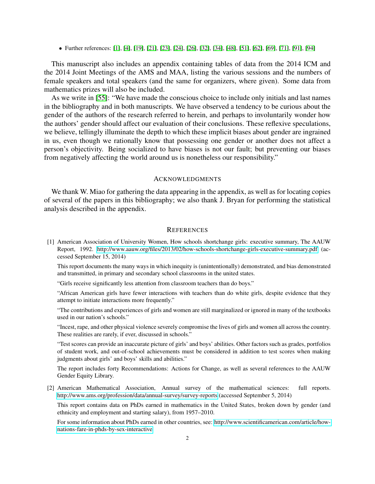• Further references: [\[1\]](#page-1-0), [\[4\]](#page-2-0), [\[19\]](#page-6-0), [\[21\]](#page-7-1), [\[23\]](#page-8-0), [\[24\]](#page-9-0), [\[26\]](#page-9-2), [\[32\]](#page-11-1), [\[34\]](#page-11-0), [\[48\]](#page-15-0), [\[51\]](#page-15-1), [\[62\]](#page-19-1), [\[69\]](#page-21-1), [\[71\]](#page-22-2), [\[91\]](#page-28-0), [\[94\]](#page-28-1)

This manuscript also includes an appendix containing tables of data from the 2014 ICM and the 2014 Joint Meetings of the AMS and MAA, listing the various sessions and the numbers of female speakers and total speakers (and the same for organizers, where given). Some data from mathematics prizes will also be included.

As we write in [\[55\]](#page-17-0): "We have made the conscious choice to include only initials and last names in the bibliography and in both manuscripts. We have observed a tendency to be curious about the gender of the authors of the research referred to herein, and perhaps to involuntarily wonder how the authors' gender should affect our evaluation of their conclusions. These reflexive speculations, we believe, tellingly illuminate the depth to which these implicit biases about gender are ingrained in us, even though we rationally know that possessing one gender or another does not affect a person's objectivity. Being socialized to have biases is not our fault; but preventing our biases from negatively affecting the world around us is nonetheless our responsibility."

### ACKNOWLEDGMENTS

We thank W. Miao for gathering the data appearing in the appendix, as well as for locating copies of several of the papers in this bibliography; we also thank J. Bryan for performing the statistical analysis described in the appendix.

### **REFERENCES**

<span id="page-1-0"></span>[1] American Association of University Women, How schools shortchange girls: executive summary, The AAUW Report, 1992.<http://www.aauw.org/files/2013/02/how-schools-shortchange-girls-executive-summary.pdf> (accessed September 15, 2014)

This report documents the many ways in which inequity is (unintentionally) demonstrated, and bias demonstrated and transmitted, in primary and secondary school classrooms in the united states.

"Girls receive significantly less attention from classroom teachers than do boys."

"African American girls have fewer interactions with teachers than do white girls, despite evidence that they attempt to initiate interactions more frequently."

"The contributions and experiences of girls and women are still marginalized or ignored in many of the textbooks used in our nation's schools."

"Incest, rape, and other physical violence severely compromise the lives of girls and women all across the country. These realities are rarely, if ever, discussed in schools."

"Test scores can provide an inaccurate picture of girls' and boys' abilities. Other factors such as grades, portfolios of student work, and out-of-school achievements must be considered in addition to test scores when making judgments about girls' and boys' skills and abilities."

The report includes forty Recommendations: Actions for Change, as well as several references to the AAUW Gender Equity Library.

<span id="page-1-1"></span>[2] American Mathematical Association, Annual survey of the mathematical sciences: full reports. <http://www.ams.org/profession/data/annual-survey/survey-reports> (accessed September 5, 2014)

This report contains data on PhDs earned in mathematics in the United States, broken down by gender (and ethnicity and employment and starting salary), from 1957–2010.

For some information about PhDs earned in other countries, see: [http://www.scientificamerican.com/article/how](http://www.scientificamerican.com/article/how-nations-fare-in-phds-by-sex-interactive)[nations-fare-in-phds-by-sex-interactive](http://www.scientificamerican.com/article/how-nations-fare-in-phds-by-sex-interactive)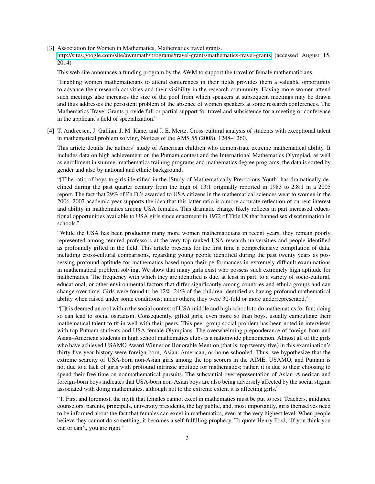<span id="page-2-1"></span>[3] Association for Women in Mathematics, Mathematics travel grants.

<http://sites.google.com/site/awmmath/programs/travel-grants/mathematics-travel-grants> (accessed August 15, 2014)

This web site announces a funding program by the AWM to support the travel of female mathematicians.

"Enabling women mathematicians to attend conferences in their fields provides them a valuable opportunity to advance their research activities and their visibility in the research community. Having more women attend such meetings also increases the size of the pool from which speakers at subsequent meetings may be drawn and thus addresses the persistent problem of the absence of women speakers at some research conferences. The Mathematics Travel Grants provide full or partial support for travel and subsistence for a meeting or conference in the applicant's field of specialization."

<span id="page-2-0"></span>[4] T. Andreescu, J. Gallian, J. M. Kane, and J. E. Mertz, Cross-cultural analysis of students with exceptional talent in mathematical problem solving, Notices of the AMS 55 (2008), 1248–1260.

This article details the authors' study of American children who demonstrate extreme mathematical ability. It includes data on high achievement on the Putnam contest and the International Mathematics Olympiad, as well as enrollment in summer mathematics training programs and mathematics degree programs; the data is sorted by gender and also by national and ethnic background.

"[T]he ratio of boys to girls identified in the [Study of Mathematically Precocious Youth] has dramatically declined during the past quarter century from the high of 13:1 originally reported in 1983 to 2.8:1 in a 2005 report. The fact that 29% of Ph.D.'s awarded to USA citizens in the mathematical sciences went to women in the 2006–2007 academic year supports the idea that this latter ratio is a more accurate reflection of current interest and ability in mathematics among USA females. This dramatic change likely reflects in part increased educational opportunities available to USA girls since enactment in 1972 of Title IX that banned sex discrimination in schools."

"While the USA has been producing many more women mathematicians in recent years, they remain poorly represented among tenured professors at the very top-ranked USA research universities and people identified as profoundly gifted in the field. This article presents for the first time a comprehensive compilation of data, including cross-cultural comparisons, regarding young people identified during the past twenty years as possessing profound aptitude for mathematics based upon their performances in extremely difficult examinations in mathematical problem solving. We show that many girls exist who possess such extremely high aptitude for mathematics. The frequency with which they are identified is due, at least in part, to a variety of socio-cultural, educational, or other environmental factors that differ significantly among countries and ethnic groups and can change over time. Girls were found to be 12%–24% of the children identified as having profound mathematical ability when raised under some conditions; under others, they were 30-fold or more underrepresented."

"[I]t is deemed uncool within the social context of USA middle and high schools to do mathematics for fun; doing so can lead to social ostracism. Consequently, gifted girls, even more so than boys, usually camouflage their mathematical talent to fit in well with their peers. This peer group social problem has been noted in interviews with top Putnam students and USA female Olympians. The overwhelming preponderance of foreign-born and Asian–American students in high school mathematics clubs is a nationwide phenomenon. Almost all of the girls who have achieved USAMO Award Winner or Honorable Mention (that is, top twenty-five) in this examination's thirty-five-year history were foreign-born, Asian–American, or home-schooled. Thus, we hypothesize that the extreme scarcity of USA-born non-Asian girls among the top scorers in the AIME, USAMO, and Putnam is not due to a lack of girls with profound intrinsic aptitude for mathematics; rather, it is due to their choosing to spend their free time on nonmathematical pursuits. The substantial overrepresentation of Asian–American and foreign-born boys indicates that USA-born non-Asian boys are also being adversely affected by the social stigma associated with doing mathematics, although not to the extreme extent it is affecting girls."

"1. First and foremost, the myth that females cannot excel in mathematics must be put to rest. Teachers, guidance counselors, parents, principals, university presidents, the lay public, and, most importantly, girls themselves need to be informed about the fact that females can excel in mathematics, even at the very highest level. When people believe they cannot do something, it becomes a self-fulfilling prophecy. To quote Henry Ford, 'If you think you can or can't, you are right.'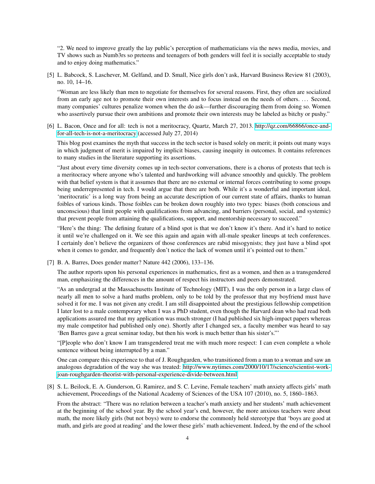"2. We need to improve greatly the lay public's perception of mathematicians via the news media, movies, and TV shows such as Numb3rs so preteens and teenagers of both genders will feel it is socially acceptable to study and to enjoy doing mathematics."

<span id="page-3-3"></span>[5] L. Babcock, S. Laschever, M. Gelfand, and D. Small, Nice girls don't ask, Harvard Business Review 81 (2003), no. 10, 14–16.

"Woman are less likely than men to negotiate for themselves for several reasons. First, they often are socialized from an early age not to promote their own interests and to focus instead on the needs of others. . . . Second, many companies' cultures penalize women when the do ask—further discouraging them from doing so. Women who assertively pursue their own ambitions and promote their own interests may be labeled as bitchy or pushy."

<span id="page-3-2"></span>[6] L. Bacon, Once and for all: tech is not a meritocracy, Quartz, March 27, 2013. [http://qz.com/66866/once-and](http://qz.com/66866/once-and-for-all-tech-is-not-a-meritocracy)[for-all-tech-is-not-a-meritocracy](http://qz.com/66866/once-and-for-all-tech-is-not-a-meritocracy) (accessed July 27, 2014)

This blog post examines the myth that success in the tech sector is based solely on merit; it points out many ways in which judgment of merit is impaired by implicit biases, causing inequity in outcomes. It contains references to many studies in the literature supporting its assertions.

"Just about every time diversity comes up in tech-sector conversations, there is a chorus of protests that tech is a meritocracy where anyone who's talented and hardworking will advance smoothly and quickly. The problem with that belief system is that it assumes that there are no external or internal forces contributing to some groups being underrepresented in tech. I would argue that there are both. While it's a wonderful and important ideal, 'meritocratic' is a long way from being an accurate description of our current state of affairs, thanks to human foibles of various kinds. Those foibles can be broken down roughly into two types: biases (both conscious and unconscious) that limit people with qualifications from advancing, and barriers (personal, social, and systemic) that prevent people from attaining the qualifications, support, and mentorship necessary to succeed."

"Here's the thing: The defining feature of a blind spot is that we don't know it's there. And it's hard to notice it until we're challenged on it. We see this again and again with all-male speaker lineups at tech conferences. I certainly don't believe the organizers of those conferences are rabid misogynists; they just have a blind spot when it comes to gender, and frequently don't notice the lack of women until it's pointed out to them."

<span id="page-3-0"></span>[7] B. A. Barres, Does gender matter? Nature 442 (2006), 133–136.

The author reports upon his personal experiences in mathematics, first as a women, and then as a transgendered man, emphasizing the differences in the amount of respect his instructors and peers demonstrated.

"As an undergrad at the Massachusetts Institute of Technology (MIT), I was the only person in a large class of nearly all men to solve a hard maths problem, only to be told by the professor that my boyfriend must have solved it for me. I was not given any credit. I am still disappointed about the prestigious fellowship competition I later lost to a male contemporary when I was a PhD student, even though the Harvard dean who had read both applications assured me that my application was much stronger (I had published six high-impact papers whereas my male competitor had published only one). Shortly after I changed sex, a faculty member was heard to say 'Ben Barres gave a great seminar today, but then his work is much better than his sister's."'

"[P]eople who don't know I am transgendered treat me with much more respect: I can even complete a whole sentence without being interrupted by a man."

One can compare this experience to that of J. Roughgarden, who transitioned from a man to a woman and saw an analogous degradation of the way she was treated: [http://www.nytimes.com/2000/10/17/science/scientist-work](http://www.nytimes.com/2000/10/17/science/scientist-work-joan-roughgarden-theorist-with-personal-experience-divide-between.html)[joan-roughgarden-theorist-with-personal-experience-divide-between.html](http://www.nytimes.com/2000/10/17/science/scientist-work-joan-roughgarden-theorist-with-personal-experience-divide-between.html)

<span id="page-3-1"></span>[8] S. L. Beilock, E. A. Gunderson, G. Ramirez, and S. C. Levine, Female teachers' math anxiety affects girls' math achievement, Proceedings of the National Academy of Sciences of the USA 107 (2010), no. 5, 1860–1863.

From the abstract: "There was no relation between a teacher's math anxiety and her students' math achievement at the beginning of the school year. By the school year's end, however, the more anxious teachers were about math, the more likely girls (but not boys) were to endorse the commonly held stereotype that 'boys are good at math, and girls are good at reading' and the lower these girls' math achievement. Indeed, by the end of the school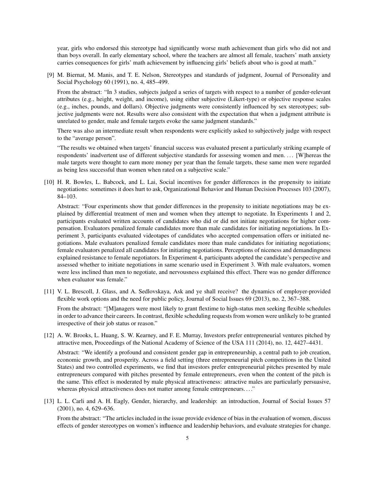year, girls who endorsed this stereotype had significantly worse math achievement than girls who did not and than boys overall. In early elementary school, where the teachers are almost all female, teachers' math anxiety carries consequences for girls' math achievement by influencing girls' beliefs about who is good at math."

<span id="page-4-0"></span>[9] M. Biernat, M. Manis, and T. E. Nelson, Stereotypes and standards of judgment, Journal of Personality and Social Psychology 60 (1991), no. 4, 485–499.

From the abstract: "In 3 studies, subjects judged a series of targets with respect to a number of gender-relevant attributes (e.g., height, weight, and income), using either subjective (Likert-type) or objective response scales (e.g., inches, pounds, and dollars). Objective judgments were consistently influenced by sex stereotypes; subjective judgments were not. Results were also consistent with the expectation that when a judgment attribute is unrelated to gender, male and female targets evoke the same judgment standards."

There was also an intermediate result when respondents were explicitly asked to subjectively judge with respect to the "average person".

"The results we obtained when targets' financial success was evaluated present a particularly striking example of respondents' inadvertent use of different subjective standards for assessing women and men. . . . [W]hereas the male targets were thought to earn more money per year than the female targets, these same men were regarded as being less successful than women when rated on a subjective scale."

<span id="page-4-2"></span>[10] H. R. Bowles, L. Babcock, and L. Lai, Social incentives for gender differences in the propensity to initiate negotiations: sometimes it does hurt to ask, Organizational Behavior and Human Decision Processes 103 (2007), 84–103.

Abstract: "Four experiments show that gender differences in the propensity to initiate negotiations may be explained by differential treatment of men and women when they attempt to negotiate. In Experiments 1 and 2, participants evaluated written accounts of candidates who did or did not initiate negotiations for higher compensation. Evaluators penalized female candidates more than male candidates for initiating negotiations. In Experiment 3, participants evaluated videotapes of candidates who accepted compensation offers or initiated negotiations. Male evaluators penalized female candidates more than male candidates for initiating negotiations; female evaluators penalized all candidates for initiating negotiations. Perceptions of niceness and demandingness explained resistance to female negotiators. In Experiment 4, participants adopted the candidate's perspective and assessed whether to initiate negotiations in same scenario used in Experiment 3. With male evaluators, women were less inclined than men to negotiate, and nervousness explained this effect. There was no gender difference when evaluator was female."

<span id="page-4-3"></span>[11] V. L. Brescoll, J. Glass, and A. Sedlovskaya, Ask and ye shall receive? the dynamics of employer-provided flexible work options and the need for public policy, Journal of Social Issues 69 (2013), no. 2, 367–388.

From the abstract: "[M]anagers were most likely to grant flextime to high-status men seeking flexible schedules in order to advance their careers. In contrast, flexible scheduling requests from women were unlikely to be granted irrespective of their job status or reason."

<span id="page-4-1"></span>[12] A. W. Brooks, L. Huang, S. W. Kearney, and F. E. Murray, Investors prefer entrepreneurial ventures pitched by attractive men, Proceedings of the National Academy of Science of the USA 111 (2014), no. 12, 4427–4431.

Abstract: "We identify a profound and consistent gender gap in entrepreneurship, a central path to job creation, economic growth, and prosperity. Across a field setting (three entrepreneurial pitch competitions in the United States) and two controlled experiments, we find that investors prefer entrepreneurial pitches presented by male entrepreneurs compared with pitches presented by female entrepreneurs, even when the content of the pitch is the same. This effect is moderated by male physical attractiveness: attractive males are particularly persuasive, whereas physical attractiveness does not matter among female entrepreneurs...."

<span id="page-4-4"></span>[13] L. L. Carli and A. H. Eagly, Gender, hierarchy, and leadership: an introduction, Journal of Social Issues 57 (2001), no. 4, 629–636.

From the abstract: "The articles included in the issue provide evidence of bias in the evaluation of women, discuss effects of gender stereotypes on women's influence and leadership behaviors, and evaluate strategies for change.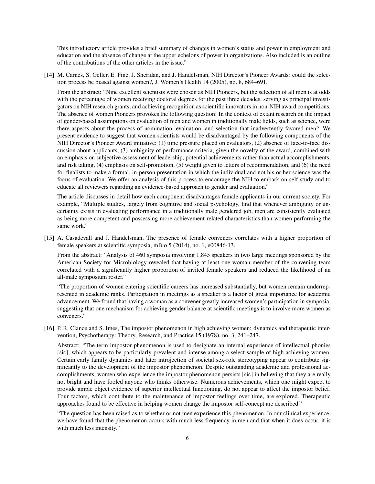This introductory article provides a brief summary of changes in women's status and power in employment and education and the absence of change at the upper echelons of power in organizations. Also included is an outline of the contributions of the other articles in the issue."

<span id="page-5-2"></span>[14] M. Carnes, S. Geller, E. Fine, J. Sheridan, and J. Handelsman, NIH Director's Pioneer Awards: could the selection process be biased against women?, J. Women's Health 14 (2005), no. 8, 684–691.

From the abstract: "Nine excellent scientists were chosen as NIH Pioneers, but the selection of all men is at odds with the percentage of women receiving doctoral degrees for the past three decades, serving as principal investigators on NIH research grants, and achieving recognition as scientific innovators in non-NIH award competitions. The absence of women Pioneers provokes the following question: In the context of extant research on the impact of gender-based assumptions on evaluation of men and women in traditionally male fields, such as science, were there aspects about the process of nomination, evaluation, and selection that inadvertently favored men? We present evidence to suggest that women scientists would be disadvantaged by the following components of the NIH Director's Pioneer Award initiative: (1) time pressure placed on evaluators, (2) absence of face-to-face discussion about applicants, (3) ambiguity of performance criteria, given the novelty of the award, combined with an emphasis on subjective assessment of leadership, potential achievements rather than actual accomplishments, and risk taking, (4) emphasis on self-promotion, (5) weight given to letters of recommendation, and (6) the need for finalists to make a formal, in-person presentation in which the individual and not his or her science was the focus of evaluation. We offer an analysis of this process to encourage the NIH to embark on self-study and to educate all reviewers regarding an evidence-based approach to gender and evaluation."

The article discusses in detail how each component disadvantages female applicants in our current society. For example, "Multiple studies, largely from cognitive and social psychology, find that whenever ambiguity or uncertainty exists in evaluating performance in a traditionally male gendered job, men are consistently evaluated as being more competent and possessing more achievement-related characteristics than women performing the same work."

<span id="page-5-1"></span>[15] A. Casadevall and J. Handelsman, The presence of female conveners correlates with a higher proportion of female speakers at scientific symposia, mBio 5 (2014), no. 1, e00846-13.

From the abstract: "Analysis of 460 symposia involving 1,845 speakers in two large meetings sponsored by the American Society for Microbiology revealed that having at least one woman member of the convening team correlated with a significantly higher proportion of invited female speakers and reduced the likelihood of an all-male symposium roster."

"The proportion of women entering scientific careers has increased substantially, but women remain underrepresented in academic ranks. Participation in meetings as a speaker is a factor of great importance for academic advancement. We found that having a woman as a convener greatly increased women's participation in symposia, suggesting that one mechanism for achieving gender balance at scientific meetings is to involve more women as conveners."

<span id="page-5-0"></span>[16] P. R. Clance and S. Imes, The impostor phenomenon in high achieving women: dynamics and therapeutic intervention, Psychotherapy: Theory, Research, and Practice 15 (1978), no. 3, 241–247.

Abstract: "The term impostor phenomenon is used to designate an internal experience of intellectual phonies [sic], which appears to be particularly prevalent and intense among a select sample of high achieving women. Certain early family dynamics and later introjection of societal sex-role stereotyping appear to contribute significantly to the development of the impostor phenomenon. Despite outstanding academic and professional accomplishments, women who experience the impostor phenomenon persists [sic] in believing that they are really not bright and have fooled anyone who thinks otherwise. Numerous achievements, which one might expect to provide ample object evidence of superior intellectual functioning, do not appear to affect the impostor belief. Four factors, which contribute to the maintenance of impostor feelings over time, are explored. Therapeutic approaches found to be effective in helping women change the impostor self-concept are described."

"The question has been raised as to whether or not men experience this phenomenon. In our clinical experience, we have found that the phenomenon occurs with much less frequency in men and that when it does occur, it is with much less intensity."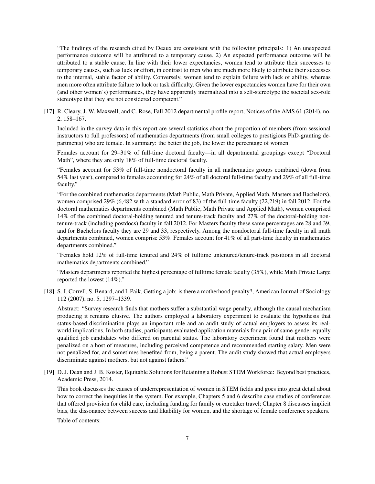"The findings of the research citied by Deaux are consistent with the following principals: 1) An unexpected performance outcome will be attributed to a temporary cause. 2) An expected performance outcome will be attributed to a stable cause. In line with their lower expectancies, women tend to attribute their successes to temporary causes, such as luck or effort, in contrast to men who are much more likely to attribute their successes to the internal, stable factor of ability. Conversely, women tend to explain failure with lack of ability, whereas men more often attribute failure to luck or task difficulty. Given the lower expectancies women have for their own (and other women's) performances, they have apparently internalized into a self-stereotype the societal sex-role stereotype that they are not considered competent."

<span id="page-6-2"></span>[17] R. Cleary, J. W. Maxwell, and C. Rose, Fall 2012 departmental profile report, Notices of the AMS 61 (2014), no. 2, 158–167.

Included in the survey data in this report are several statistics about the proportion of members (from sessional instructors to full professors) of mathematics departments (from small colleges to prestigious PhD-granting departments) who are female. In summary: the better the job, the lower the percentage of women.

Females account for 29–31% of full-time doctoral faculty—in all departmental groupings except "Doctoral Math", where they are only 18% of full-time doctoral faculty.

"Females account for 53% of full-time nondoctoral faculty in all mathematics groups combined (down from 54% last year), compared to females accounting for 24% of all doctoral full-time faculty and 29% of all full-time faculty."

"For the combined mathematics departments (Math Public, Math Private, Applied Math, Masters and Bachelors), women comprised 29% (6,482 with a standard error of 83) of the full-time faculty (22,219) in fall 2012. For the doctoral mathematics departments combined (Math Public, Math Private and Applied Math), women comprised 14% of the combined doctoral-holding tenured and tenure-track faculty and 27% of the doctoral-holding nontenure-track (including postdocs) faculty in fall 2012. For Masters faculty these same percentages are 28 and 39, and for Bachelors faculty they are 29 and 33, respectively. Among the nondoctoral full-time faculty in all math departments combined, women comprise 53%. Females account for 41% of all part-time faculty in mathematics departments combined."

"Females hold 12% of full-time tenured and 24% of fulltime untenured/tenure-track positions in all doctoral mathematics departments combined."

"Masters departments reported the highest percentage of fulltime female faculty (35%), while Math Private Large reported the lowest (14%)."

<span id="page-6-1"></span>[18] S. J. Correll, S. Benard, and I. Paik, Getting a job: is there a motherhood penalty?, American Journal of Sociology 112 (2007), no. 5, 1297–1339.

Abstract: "Survey research finds that mothers suffer a substantial wage penalty, although the causal mechanism producing it remains elusive. The authors employed a laboratory experiment to evaluate the hypothesis that status-based discrimination plays an important role and an audit study of actual employers to assess its realworld implications. In both studies, participants evaluated application materials for a pair of same-gender equally qualified job candidates who differed on parental status. The laboratory experiment found that mothers were penalized on a host of measures, including perceived competence and recommended starting salary. Men were not penalized for, and sometimes benefited from, being a parent. The audit study showed that actual employers discriminate against mothers, but not against fathers."

<span id="page-6-0"></span>[19] D. J. Dean and J. B. Koster, Equitable Solutions for Retaining a Robust STEM Workforce: Beyond best practices, Academic Press, 2014.

This book discusses the causes of underrepresentation of women in STEM fields and goes into great detail about how to correct the inequities in the system. For example, Chapters 5 and 6 describe case studies of conferences that offered provision for child care, including funding for family or caretaker travel; Chapter 8 discusses implicit bias, the dissonance between success and likability for women, and the shortage of female conference speakers.

Table of contents: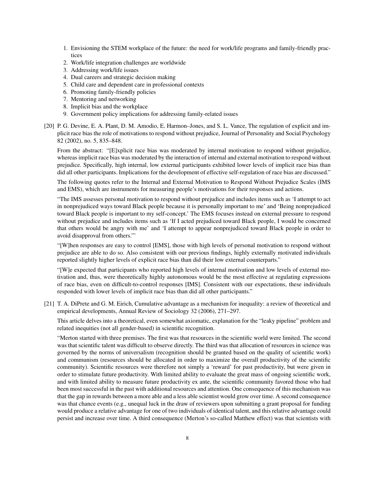- 1. Envisioning the STEM workplace of the future: the need for work/life programs and family-friendly practices
- 2. Work/life integration challenges are worldwide
- 3. Addressing work/life issues
- 4. Dual careers and strategic decision making
- 5. Child care and dependent care in professional contexts
- 6. Promoting family-friendly policies
- 7. Mentoring and networking
- 8. Implicit bias and the workplace
- 9. Government policy implications for addressing family-related issues
- <span id="page-7-0"></span>[20] P. G. Devine, E. A. Plant, D. M. Amodio, E. Harmon–Jones, and S. L. Vance, The regulation of explicit and implicit race bias the role of motivations to respond without prejudice, Journal of Personality and Social Psychology 82 (2002), no. 5, 835–848.

From the abstract: "[E]xplicit race bias was moderated by internal motivation to respond without prejudice, whereas implicit race bias was moderated by the interaction of internal and external motivation to respond without prejudice. Specifically, high internal, low external participants exhibited lower levels of implicit race bias than did all other participants. Implications for the development of effective self-regulation of race bias are discussed."

The following quotes refer to the Internal and External Motivation to Respond Without Prejudice Scales (IMS and EMS), which are instruments for measuring people's motivations for their responses and actions.

"The IMS assesses personal motivation to respond without prejudice and includes items such as 'I attempt to act in nonprejudiced ways toward Black people because it is personally important to me' and 'Being nonprejudiced toward Black people is important to my self-concept.' The EMS focuses instead on external pressure to respond without prejudice and includes items such as 'If I acted prejudiced toward Black people, I would be concerned that others would be angry with me' and 'I attempt to appear nonprejudiced toward Black people in order to avoid disapproval from others."'

"[W]hen responses are easy to control [EMS], those with high levels of personal motivation to respond without prejudice are able to do so. Also consistent with our previous findings, highly externally motivated individuals reported slightly higher levels of explicit race bias than did their low external counterparts."

"[W]e expected that participants who reported high levels of internal motivation and low levels of external motivation and, thus, were theoretically highly autonomous would be the most effective at regulating expressions of race bias, even on difficult-to-control responses [IMS]. Consistent with our expectations, these individuals responded with lower levels of implicit race bias than did all other participants."

<span id="page-7-1"></span>[21] T. A. DiPrete and G. M. Eirich, Cumulative advantage as a mechanism for inequality: a review of theoretical and empirical developments, Annual Review of Sociology 32 (2006), 271–297.

This article delves into a theoretical, even somewhat axiomatic, explanation for the "leaky pipeline" problem and related inequities (not all gender-based) in scientific recognition.

"Merton started with three premises. The first was that resources in the scientific world were limited. The second was that scientific talent was difficult to observe directly. The third was that allocation of resources in science was governed by the norms of universalism (recognition should be granted based on the quality of scientific work) and communism (resources should be allocated in order to maximize the overall productivity of the scientific community). Scientific resources were therefore not simply a 'reward' for past productivity, but were given in order to stimulate future productivity. With limited ability to evaluate the great mass of ongoing scientific work, and with limited ability to measure future productivity ex ante, the scientific community favored those who had been most successful in the past with additional resources and attention. One consequence of this mechanism was that the gap in rewards between a more able and a less able scientist would grow over time. A second consequence was that chance events (e.g., unequal luck in the draw of reviewers upon submitting a grant proposal for funding would produce a relative advantage for one of two individuals of identical talent, and this relative advantage could persist and increase over time. A third consequence (Merton's so-called Matthew effect) was that scientists with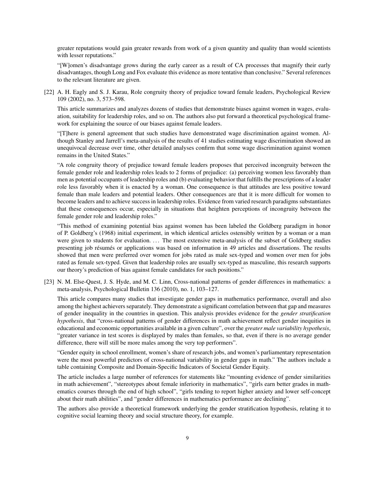greater reputations would gain greater rewards from work of a given quantity and quality than would scientists with lesser reputations."

"[W]omen's disadvantage grows during the early career as a result of CA processes that magnify their early disadvantages, though Long and Fox evaluate this evidence as more tentative than conclusive." Several references to the relevant literature are given.

<span id="page-8-1"></span>[22] A. H. Eagly and S. J. Karau, Role congruity theory of prejudice toward female leaders, Psychological Review 109 (2002), no. 3, 573–598.

This article summarizes and analyzes dozens of studies that demonstrate biases against women in wages, evaluation, suitability for leadership roles, and so on. The authors also put forward a theoretical psychological framework for explaining the source of our biases against female leaders.

"[T]here is general agreement that such studies have demonstrated wage discrimination against women. Although Stanley and Jarrell's meta-analysis of the results of 41 studies estimating wage discrimination showed an unequivocal decrease over time, other detailed analyses confirm that some wage discrimination against women remains in the United States."

"A role congruity theory of prejudice toward female leaders proposes that perceived incongruity between the female gender role and leadership roles leads to 2 forms of prejudice: (a) perceiving women less favorably than men as potential occupants of leadership roles and (b) evaluating behavior that fulfills the prescriptions of a leader role less favorably when it is enacted by a woman. One consequence is that attitudes are less positive toward female than male leaders and potential leaders. Other consequences are that it is more difficult for women to become leaders and to achieve success in leadership roles. Evidence from varied research paradigms substantiates that these consequences occur, especially in situations that heighten perceptions of incongruity between the female gender role and leadership roles."

"This method of examining potential bias against women has been labeled the Goldberg paradigm in honor of P. Goldberg's (1968) initial experiment, in which identical articles ostensibly written by a woman or a man were given to students for evaluation. ... The most extensive meta-analysis of the subset of Goldberg studies presenting job résumés or applications was based on information in 49 articles and dissertations. The results showed that men were preferred over women for jobs rated as male sex-typed and women over men for jobs rated as female sex-typed. Given that leadership roles are usually sex-typed as masculine, this research supports our theory's prediction of bias against female candidates for such positions."

<span id="page-8-0"></span>[23] N. M. Else-Quest, J. S. Hyde, and M. C. Linn, Cross-national patterns of gender differences in mathematics: a meta-analysis, Psychological Bulletin 136 (2010), no. 1, 103–127.

This article compares many studies that investigate gender gaps in mathematics performance, overall and also among the highest achievers separately. They demonstrate a significant correlation between that gap and measures of gender inequality in the countries in question. This analysis provides evidence for the *gender stratification hypothesis*, that "cross-national patterns of gender differences in math achievement reflect gender inequities in educational and economic opportunities available in a given culture", over the *greater male variability hypothesis*, "greater variance in test scores is displayed by males than females, so that, even if there is no average gender difference, there will still be more males among the very top performers".

"Gender equity in school enrollment, women's share of research jobs, and women's parliamentary representation were the most powerful predictors of cross-national variability in gender gaps in math." The authors include a table containing Composite and Domain-Specific Indicators of Societal Gender Equity.

The article includes a large number of references for statements like "mounting evidence of gender similarities in math achievement", "stereotypes about female inferiority in mathematics", "girls earn better grades in mathematics courses through the end of high school", "girls tending to report higher anxiety and lower self-concept about their math abilities", and "gender differences in mathematics performance are declining".

The authors also provide a theoretical framework underlying the gender stratification hypothesis, relating it to cognitive social learning theory and social structure theory, for example.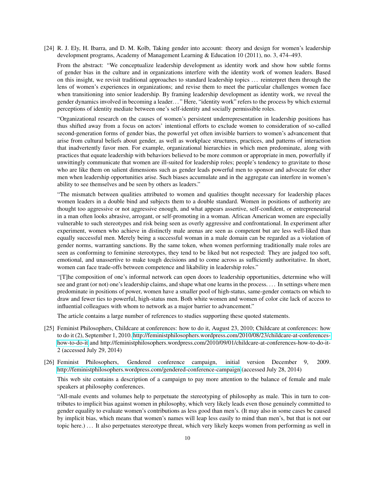<span id="page-9-0"></span>[24] R. J. Ely, H. Ibarra, and D. M. Kolb, Taking gender into account: theory and design for women's leadership development programs, Academy of Management Learning & Education 10 (2011), no. 3, 474–493.

From the abstract: "We conceptualize leadership development as identity work and show how subtle forms of gender bias in the culture and in organizations interfere with the identity work of women leaders. Based on this insight, we revisit traditional approaches to standard leadership topics . . . reinterpret them through the lens of women's experiences in organizations; and revise them to meet the particular challenges women face when transitioning into senior leadership. By framing leadership development as identity work, we reveal the gender dynamics involved in becoming a leader. . . " Here, "identity work" refers to the process by which external perceptions of identity mediate between one's self-identity and socially permissible roles.

"Organizational research on the causes of women's persistent underrepresentation in leadership positions has thus shifted away from a focus on actors' intentional efforts to exclude women to consideration of so-called second-generation forms of gender bias, the powerful yet often invisible barriers to women's advancement that arise from cultural beliefs about gender, as well as workplace structures, practices, and patterns of interaction that inadvertently favor men. For example, organizational hierarchies in which men predominate, along with practices that equate leadership with behaviors believed to be more common or appropriate in men, powerfully if unwittingly communicate that women are ill-suited for leadership roles; people's tendency to gravitate to those who are like them on salient dimensions such as gender leads powerful men to sponsor and advocate for other men when leadership opportunities arise. Such biases accumulate and in the aggregate can interfere in women's ability to see themselves and be seen by others as leaders."

"The mismatch between qualities attributed to women and qualities thought necessary for leadership places women leaders in a double bind and subjects them to a double standard. Women in positions of authority are thought too aggressive or not aggressive enough, and what appears assertive, self-confident, or entrepreneurial in a man often looks abrasive, arrogant, or self-promoting in a woman. African American women are especially vulnerable to such stereotypes and risk being seen as overly aggressive and confrontational. In experiment after experiment, women who achieve in distinctly male arenas are seen as competent but are less well-liked than equally successful men. Merely being a successful woman in a male domain can be regarded as a violation of gender norms, warranting sanctions. By the same token, when women performing traditionally male roles are seen as conforming to feminine stereotypes, they tend to be liked but not respected: They are judged too soft, emotional, and unassertive to make tough decisions and to come across as sufficiently authoritative. In short, women can face trade-offs between competence and likability in leadership roles."

"[T]he composition of one's informal network can open doors to leadership opportunities, determine who will see and grant (or not) one's leadership claims, and shape what one learns in the process. . . . In settings where men predominate in positions of power, women have a smaller pool of high-status, same-gender contacts on which to draw and fewer ties to powerful, high-status men. Both white women and women of color cite lack of access to influential colleagues with whom to network as a major barrier to advancement."

The article contains a large number of references to studies supporting these quoted statements.

- <span id="page-9-1"></span>[25] Feminist Philosophers, Childcare at conferences: how to do it, August 23, 2010; Childcare at conferences: how to do it (2), September 1, 2010. [http://feministphilosophers.wordpress.com/2010/08/23/childcare-at-conferences](http://feministphilosophers.wordpress.com/2010/08/23/childcare-at-conferences-how-to-do-it)[how-to-do-it](http://feministphilosophers.wordpress.com/2010/08/23/childcare-at-conferences-how-to-do-it) and http://feministphilosophers.wordpress.com/2010/09/01/childcare-at-conferences-how-to-do-it-2 (accessed July 29, 2014)
- <span id="page-9-2"></span>[26] Feminist Philosophers, Gendered conference campaign, initial version December 9, 2009. <http://feministphilosophers.wordpress.com/gendered-conference-campaign> (accessed July 28, 2014)

This web site contains a description of a campaign to pay more attention to the balance of female and male speakers at philosophy conferences.

"All-male events and volumes help to perpetuate the stereotyping of philosophy as male. This in turn to contributes to implicit bias against women in philosophy, which very likely leads even those genuinely committed to gender equality to evaluate women's contributions as less good than men's. (It may also in some cases be caused by implicit bias, which means that women's names will leap less easily to mind than men's, but that is not our topic here.) ... It also perpetuates stereotype threat, which very likely keeps women from performing as well in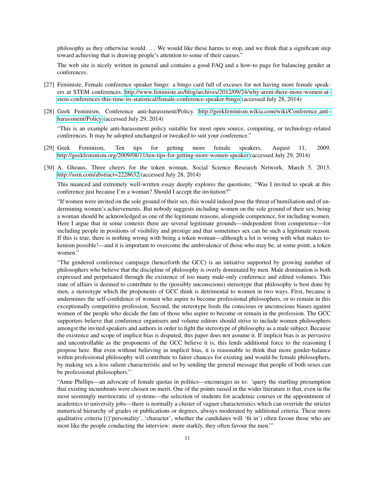philosophy as they otherwise would. . . . We would like these harms to stop, and we think that a significant step toward achieving that is drawing people's attention to some of their causes."

The web site is nicely written in general and contains a good FAQ and a how-to page for balancing gender at conferences.

- <span id="page-10-2"></span>[27] Feministe, Female conference speaker bingo: a bingo card full of excuses for not having more female speakers at STEM conferences. [http://www.feministe.us/blog/archives/2012/09/24/why-arent-there-more-women-at](http://www.feministe.us/blog/archives/2012/09/24/why-arent-there-more-women-at-stem-conferences-this-time-its-statistical/female-conference-speaker-bingo)[stem-conferences-this-time-its-statistical/female-conference-speaker-bingo](http://www.feministe.us/blog/archives/2012/09/24/why-arent-there-more-women-at-stem-conferences-this-time-its-statistical/female-conference-speaker-bingo) (accessed July 28, 2014)
- <span id="page-10-0"></span>[28] Geek Feminism, Conference anti-harassment/Policy. [http://geekfeminism.wikia.com/wiki/Conference](http://geekfeminism.wikia.com/wiki/Conference_anti-harassment/Policy) anti[harassment/Policy](http://geekfeminism.wikia.com/wiki/Conference_anti-harassment/Policy) (accessed July 29, 2014)

"This is an example anti-harassment policy suitable for most open source, computing, or technology-related conferences. It may be adopted unchanged or tweaked to suit your conference."

- <span id="page-10-3"></span>[29] Geek Feminism, Ten tips for getting more female speakers, August 11, 2009. <http://geekfeminism.org/2009/08/11/ten-tips-for-getting-more-women-speaker> (accessed July 29, 2014)
- <span id="page-10-1"></span>[30] A. Gheaus, Three cheers for the token woman, Social Science Research Network, March 5, 2013. <http://ssrn.com/abstract=2228632> (accessed July 28, 2014)

This nuanced and extremely well-written essay deeply explores the questions: "Was I invited to speak at this conference just because I'm a woman? Should I accept the invitation?"

"If women were invited on the sole ground of their sex, this would indeed pose the threat of humiliation and of undermining women's achievements. But nobody suggests including women on the sole ground of their sex; being a woman should be acknowledged as one of the legitimate reasons, alongside competence, for including women. Here I argue that in some contexts there are several legitimate grounds—independent from competence—for including people in positions of visibility and prestige and that sometimes sex can be such a legitimate reason. If this is true, there is nothing wrong with being a token woman—although a lot is wrong with what makes tokenism possible!—and it is important to overcome the ambivalence of those who may be, at some point, a token women."

"The gendered conference campaign (henceforth the GCC) is an initiative supported by growing number of philosophers who believe that the discipline of philosophy is overly dominated by men. Male domination is both expressed and perpetuated through the existence of too many male-only conference and edited volumes. This state of affairs is deemed to contribute to the (possibly unconscious) stereotype that philosophy is best done by men, a stereotype which the proponents of GCC think is detrimental to women in two ways. First, because it undermines the self-confidence of women who aspire to become professional philosophers, or to remain in this exceptionally competitive profession. Second, the stereotype feeds the conscious or unconscious biases against women of the people who decide the fate of those who aspire to become or remain in the profession. The GCC supporters believe that conference organisers and volume editors should strive to include women philosophers amongst the invited speakers and authors in order to fight the stereotype of philosophy as a male subject. Because the existence and scope of implicit bias is disputed, this paper does not assume it. If implicit bias is as pervasive and uncontrollable as the proponents of the GCC believe it is, this lends additional force to the reasoning I propose here. But even without believing in implicit bias, it is reasonable to think that more gender-balance within professional philosophy will contribute to fairer chances for existing and would-be female philosophers, by making sex a less salient characteristic and so by sending the general message that people of both sexes can be professional philosophers."

"Anne Phillips—an advocate of female quotas in politics—encourages us to: 'query the startling presumption that existing incumbents were chosen on merit. One of the points raised in the wider literature is that, even in the most seemingly meritocratic of systems—the selection of students for academic courses or the appointment of academics to university jobs—there is normally a cluster of vaguer characteristics which can override the stricter numerical hierarchy of grades or publications or degrees, always moderated by additional criteria. These more qualitative criteria [(]'personality', 'character', whether the candidates will 'fit in') often favour those who are most like the people conducting the interview: more starkly, they often favour the men."'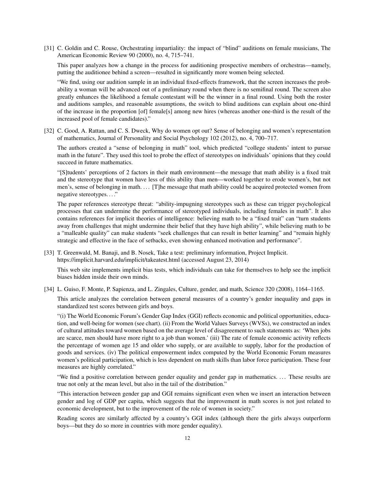<span id="page-11-2"></span>[31] C. Goldin and C. Rouse, Orchestrating impartiality: the impact of "blind" auditions on female musicians, The American Economic Review 90 (2000), no. 4, 715–741.

This paper analyzes how a change in the process for auditioning prospective members of orchestras—namely, putting the auditionee behind a screen—resulted in significantly more women being selected.

"We find, using our audition sample in an individual fixed-effects framework, that the screen increases the probability a woman will be advanced out of a preliminary round when there is no semifinal round. The screen also greatly enhances the likelihood a female contestant will be the winner in a final round. Using both the roster and auditions samples, and reasonable assumptions, the switch to blind auditions can explain about one-third of the increase in the proportion [of] female[s] among new hires (whereas another one-third is the result of the increased pool of female candidates)."

<span id="page-11-1"></span>[32] C. Good, A. Rattan, and C. S. Dweck, Why do women opt out? Sense of belonging and women's representation of mathematics, Journal of Personality and Social Psychology 102 (2012), no. 4, 700–717.

The authors created a "sense of belonging in math" tool, which predicted "college students' intent to pursue math in the future". They used this tool to probe the effect of stereotypes on individuals' opinions that they could succeed in future mathematics.

"[S]tudents' perceptions of 2 factors in their math environment—the message that math ability is a fixed trait and the stereotype that women have less of this ability than men—worked together to erode women's, but not men's, sense of belonging in math. . . . [T]he message that math ability could be acquired protected women from negative stereotypes. . . ."

The paper references stereotype threat: "ability-impugning stereotypes such as these can trigger psychological processes that can undermine the performance of stereotyped individuals, including females in math". It also contains references for implicit theories of intelligence: believing math to be a "fixed trait" can "turn students away from challenges that might undermine their belief that they have high ability", while believing math to be a "malleable quality" can make students "seek challenges that can result in better learning" and "remain highly strategic and effective in the face of setbacks, even showing enhanced motivation and performance".

<span id="page-11-3"></span>[33] T. Greenwald, M. Banaji, and B. Nosek, Take a test: preliminary information, Project Implicit. https://implicit.harvard.edu/implicit/takeatest.html (accessed August 23, 2014)

This web site implements implicit bias tests, which individuals can take for themselves to help see the implicit biases hidden inside their own minds.

<span id="page-11-0"></span>[34] L. Guiso, F. Monte, P. Sapienza, and L. Zingales, Culture, gender, and math, Science 320 (2008), 1164–1165.

This article analyzes the correlation between general measures of a country's gender inequality and gaps in standardized test scores between girls and boys.

"(i) The World Economic Forum's Gender Gap Index (GGI) reflects economic and political opportunities, education, and well-being for women (see chart). (ii) From the World Values Surveys (WVSs), we constructed an index of cultural attitudes toward women based on the average level of disagreement to such statements as: 'When jobs are scarce, men should have more right to a job than women.' (iii) The rate of female economic activity reflects the percentage of women age 15 and older who supply, or are available to supply, labor for the production of goods and services. (iv) The political empowerment index computed by the World Economic Forum measures women's political participation, which is less dependent on math skills than labor force participation. These four measures are highly correlated."

"We find a positive correlation between gender equality and gender gap in mathematics. . . . These results are true not only at the mean level, but also in the tail of the distribution."

"This interaction between gender gap and GGI remains significant even when we insert an interaction between gender and log of GDP per capita, which suggests that the improvement in math scores is not just related to economic development, but to the improvement of the role of women in society."

Reading scores are similarly affected by a country's GGI index (although there the girls always outperform boys—but they do so more in countries with more gender equality).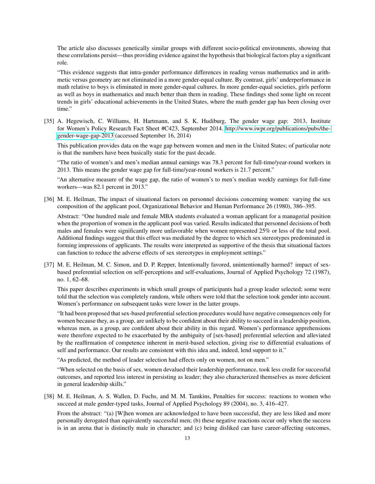The article also discusses genetically similar groups with different socio-political environments, showing that these correlations persist—thus providing evidence against the hypothesis that biological factors play a significant role.

"This evidence suggests that intra-gender performance differences in reading versus mathematics and in arithmetic versus geometry are not eliminated in a more gender-equal culture. By contrast, girls' underperformance in math relative to boys is eliminated in more gender-equal cultures. In more gender-equal societies, girls perform as well as boys in mathematics and much better than them in reading. These findings shed some light on recent trends in girls' educational achievements in the United States, where the math gender gap has been closing over time."

<span id="page-12-1"></span>[35] A. Hegewisch, C. Williams, H. Hartmann, and S. K. Hudiburg, The gender wage gap: 2013, Institute for Women's Policy Research Fact Sheet #C423, September 2014. [http://www.iwpr.org/publications/pubs/the](http://www.iwpr.org/publications/pubs/the-gender-wage-gap-2013)[gender-wage-gap-2013](http://www.iwpr.org/publications/pubs/the-gender-wage-gap-2013) (accessed September 16, 2014)

This publication provides data on the wage gap between women and men in the United States; of particular note is that the numbers have been basically static for the past decade.

"The ratio of women's and men's median annual earnings was 78.3 percent for full-time/year-round workers in 2013. This means the gender wage gap for full-time/year-round workers is 21.7 percent."

"An alternative measure of the wage gap, the ratio of women's to men's median weekly earnings for full-time workers—was 82.1 percent in 2013."

<span id="page-12-3"></span>[36] M. E. Heilman, The impact of situational factors on personnel decisions concerning women: varying the sex composition of the applicant pool, Organizational Behavior and Human Performance 26 (1980), 386–395.

Abstract: "One hundred male and female MBA students evaluated a woman applicant for a managerial position when the proportion of women in the applicant pool was varied. Results indicated that personnel decisions of both males and females were significantly more unfavorable when women represented 25% or less of the total pool. Additional findings suggest that this effect was mediated by the degree to which sex stereotypes predominated in forming impressions of applicants. The results were interpreted as supportive of the thesis that situational factors can function to reduce the adverse effects of sex stereotypes in employment settings."

<span id="page-12-2"></span>[37] M. E. Heilman, M. C. Simon, and D. P. Repper, Intentionally favored, unintentionally harmed? impact of sexbased preferential selection on self-perceptions and self-evaluations, Journal of Applied Psychology 72 (1987), no. 1, 62–68.

This paper describes experiments in which small groups of participants had a group leader selected; some were told that the selection was completely random, while others were told that the selection took gender into account. Women's performance on subsequent tasks were lower in the latter groups.

"It had been proposed that sex-based preferential selection procedures would have negative consequences only for women because they, as a group, are unlikely to be confident about their ability to succeed in a leadership position, whereas men, as a group, are confident about their ability in this regard. Women's performance apprehensions were therefore expected to be exacerbated by the ambiguity of [sex-based] preferential selection and alleviated by the reaffirmation of competence inherent in merit-based selection, giving rise to differential evaluations of self and performance. Our results are consistent with this idea and, indeed, lend support to it."

"As predicted, the method of leader selection had effects only on women, not on men."

"When selected on the basis of sex, women devalued their leadership performance, took less credit for successful outcomes, and reported less interest in persisting as leader; they also characterized themselves as more deficient in general leadership skills."

<span id="page-12-0"></span>[38] M. E. Heilman, A. S. Wallen, D. Fuchs, and M. M. Tamkins, Penalties for success: reactions to women who succeed at male gender-typed tasks, Journal of Applied Psychology 89 (2004), no. 3, 416–427.

From the abstract: "(a) [W]hen women are acknowledged to have been successful, they are less liked and more personally derogated than equivalently successful men; (b) these negative reactions occur only when the success is in an arena that is distinctly male in character; and (c) being disliked can have career-affecting outcomes,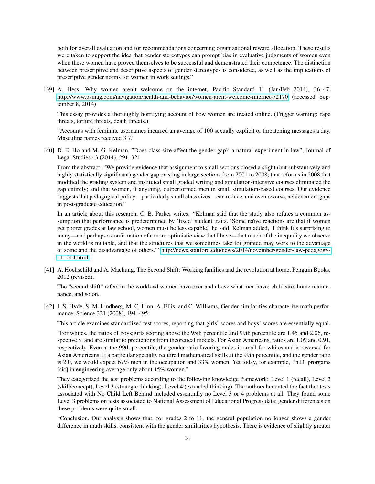both for overall evaluation and for recommendations concerning organizational reward allocation. These results were taken to support the idea that gender stereotypes can prompt bias in evaluative judgments of women even when these women have proved themselves to be successful and demonstrated their competence. The distinction between prescriptive and descriptive aspects of gender stereotypes is considered, as well as the implications of prescriptive gender norms for women in work settings."

<span id="page-13-1"></span>[39] A. Hess, Why women aren't welcome on the internet, Pacific Standard 11 (Jan/Feb 2014), 36–47. <http://www.psmag.com/navigation/health-and-behavior/women-arent-welcome-internet-72170> (accessed September 8, 2014)

This essay provides a thoroughly horrifying account of how women are treated online. (Trigger warning: rape threats, torture threats, death threats.)

"Accounts with feminine usernames incurred an average of 100 sexually explicit or threatening messages a day. Masculine names received 3.7."

[40] D. E. Ho and M. G. Kelman, "Does class size affect the gender gap? a natural experiment in law", Journal of Legal Studies 43 (2014), 291–321.

From the abstract: "We provide evidence that assignment to small sections closed a slight (but substantively and highly statistically significant) gender gap existing in large sections from 2001 to 2008; that reforms in 2008 that modified the grading system and instituted small graded writing and simulation-intensive courses eliminated the gap entirely; and that women, if anything, outperformed men in small simulation-based courses. Our evidence suggests that pedagogical policy—particularly small class sizes—can reduce, and even reverse, achievement gaps in post-graduate education."

In an article about this research, C. B. Parker writes: "Kelman said that the study also refutes a common assumption that performance is predetermined by 'fixed' student traits. 'Some naïve reactions are that if women get poorer grades at law school, women must be less capable,' he said. Kelman added, 'I think it's surprising to many—and perhaps a confirmation of a more optimistic view that I have—that much of the inequality we observe in the world is mutable, and that the structures that we sometimes take for granted may work to the advantage of some and the disadvantage of others."' [http://news.stanford.edu/news/2014/november/gender-law-pedagogy-](http://news.stanford.edu/news/2014/november/gender-law-pedagogy-111014.html)[111014.html](http://news.stanford.edu/news/2014/november/gender-law-pedagogy-111014.html)

[41] A. Hochschild and A. Machung, The Second Shift: Working families and the revolution at home, Penguin Books, 2012 (revised).

The "second shift" refers to the workload women have over and above what men have: childcare, home maintenance, and so on.

<span id="page-13-0"></span>[42] J. S. Hyde, S. M. Lindberg, M. C. Linn, A. Ellis, and C. Williams, Gender similarities characterize math performance, Science 321 (2008), 494–495.

This article examines standardized test scores, reporting that girls' scores and boys' scores are essentially equal.

"For whites, the ratios of boys:girls scoring above the 95th percentile and 99th percentile are 1.45 and 2.06, respectively, and are similar to predictions from theoretical models. For Asian Americans, ratios are 1.09 and 0.91, respectively. Even at the 99th percentile, the gender ratio favoring males is small for whites and is reversed for Asian Americans. If a particular specialty required mathematical skills at the 99th percentile, and the gender ratio is 2.0, we would expect 67% men in the occupation and 33% women. Yet today, for example, Ph.D. prorgams [sic] in engineering average only about 15% women."

They categorized the test problems according to the following knowledge framework: Level 1 (recall), Level 2 (skill/concept), Level 3 (strategic thinking), Level 4 (extended thinking). The authors lamented the fact that tests associated with No Child Left Behind included essentially no Level 3 or 4 problems at all. They found some Level 3 problems on tests associated to National Assessment of Educational Progress data; gender differences on these problems were quite small.

"Conclusion. Our analysis shows that, for grades 2 to 11, the general population no longer shows a gender difference in math skills, consistent with the gender similarities hypothesis. There is evidence of slightly greater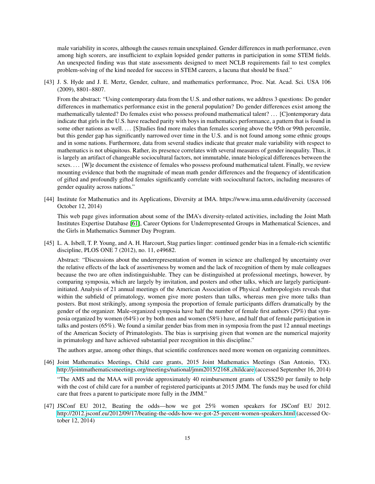male variability in scores, although the causes remain unexplained. Gender differences in math performance, even among high scorers, are insufficient to explain lopsided gender patterns in participation in some STEM fields. An unexpected finding was that state assessments designed to meet NCLB requirements fail to test complex problem-solving of the kind needed for success in STEM careers, a lacuna that should be fixed."

<span id="page-14-0"></span>[43] J. S. Hyde and J. E. Mertz, Gender, culture, and mathematics performance, Proc. Nat. Acad. Sci. USA 106 (2009), 8801–8807.

From the abstract: "Using contemporary data from the U.S. and other nations, we address 3 questions: Do gender differences in mathematics performance exist in the general population? Do gender differences exist among the mathematically talented? Do females exist who possess profound mathematical talent? . . . [C]ontemporary data indicate that girls in the U.S. have reached parity with boys in mathematics performance, a pattern that is found in some other nations as well. . . . [S] tudies find more males than females scoring above the 95th or 99th percentile, but this gender gap has significantly narrowed over time in the U.S. and is not found among some ethnic groups and in some nations. Furthermore, data from several studies indicate that greater male variability with respect to mathematics is not ubiquitous. Rather, its presence correlates with several measures of gender inequality. Thus, it is largely an artifact of changeable sociocultural factors, not immutable, innate biological differences between the sexes. . . . [W]e document the existence of females who possess profound mathematical talent. Finally, we review mounting evidence that both the magnitude of mean math gender differences and the frequency of identification of gifted and profoundly gifted females significantly correlate with sociocultural factors, including measures of gender equality across nations."

<span id="page-14-3"></span>[44] Institute for Mathematics and its Applications, Diversity at IMA. https://www.ima.umn.edu/diversity (accessed October 12, 2014)

This web page gives information about some of the IMA's diversity-related activities, including the Joint Math Institutes Expertise Database [\[61\]](#page-19-2), Career Options for Underrepresented Groups in Mathematical Sciences, and the Girls in Mathematics Summer Day Program.

<span id="page-14-1"></span>[45] L. A. Isbell, T. P. Young, and A. H. Harcourt, Stag parties linger: continued gender bias in a female-rich scientific discipline, PLOS ONE 7 (2012), no. 11, e49682.

Abstract: "Discussions about the underrepresentation of women in science are challenged by uncertainty over the relative effects of the lack of assertiveness by women and the lack of recognition of them by male colleagues because the two are often indistinguishable. They can be distinguished at professional meetings, however, by comparing symposia, which are largely by invitation, and posters and other talks, which are largely participantinitiated. Analysis of 21 annual meetings of the American Association of Physical Anthropologists reveals that within the subfield of primatology, women give more posters than talks, whereas men give more talks than posters. But most strikingly, among symposia the proportion of female participants differs dramatically by the gender of the organizer. Male-organized symposia have half the number of female first authors (29%) that symposia organized by women (64%) or by both men and women (58%) have, and half that of female participation in talks and posters (65%). We found a similar gender bias from men in symposia from the past 12 annual meetings of the American Society of Primatologists. The bias is surprising given that women are the numerical majority in primatology and have achieved substantial peer recognition in this discipline."

The authors argue, among other things, that scientific conferences need more women on organizing committees.

- [46] Joint Mathematics Meetings, Child care grants, 2015 Joint Mathematics Meetings (San Antonio, TX). [http://jointmathematicsmeetings.org/meetings/national/jmm2015/2168](http://jointmathematicsmeetings.org/meetings/national/jmm2015/2168_childcare) childcare (accessed September 16, 2014) "The AMS and the MAA will provide approximately 40 reimbursement grants of US\$250 per family to help with the cost of child care for a number of registered participants at 2015 JMM. The funds may be used for child care that frees a parent to participate more fully in the JMM."
- <span id="page-14-2"></span>[47] JSConf EU 2012, Beating the odds—how we got 25% women speakers for JSConf EU 2012. <http://2012.jsconf.eu/2012/09/17/beating-the-odds-how-we-got-25-percent-women-speakers.html> (accessed October 12, 2014)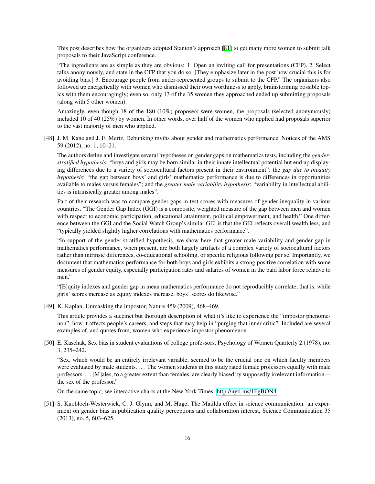This post describes how the organizers adopted Stanton's approach [\[81\]](#page-25-2) to get many more women to submit talk proposals to their JavaScript conference.

"The ingredients are as simple as they are obvious: 1. Open an inviting call for presentations (CFP). 2. Select talks anonymously, and state in the CFP that you do so. [They emphasize later in the post how crucial this is for avoiding bias.] 3. Encourage people from under-represented groups to submit to the CFP." The organizers also followed up energetically with women who dismissed their own worthiness to apply, brainstorming possible topics with them encouragingly; even so, only 13 of the 35 women they approached ended up submitting proposals (along with 5 other women).

Amazingly, even though 18 of the 180 (10%) proposers were women, the proposals (selected anonymously) included 10 of 40 (25%) by women. In other words, over half of the women who applied had proposals superior to the vast majority of men who applied.

<span id="page-15-0"></span>[48] J. M. Kane and J. E. Mertz, Debunking myths about gender and mathematics performance, Notices of the AMS 59 (2012), no. 1, 10–21.

The authors define and investigate several hypotheses on gender gaps on mathematics tests, including the *genderstratified hypothesis*: "boys and girls may be born similar in their innate intellectual potential but end up displaying differences due to a variety of sociocultural factors present in their environment"; the *gap due to inequity hypothesis*: "the gap between boys' and girls' mathematics performance is due to differences in opportunities available to males versus females"; and the *greater male variability hypothesis*: "variability in intellectual abilities is intrinsically greater among males".

Part of their research was to compare gender gaps in test scores with measures of gender inequality in various countries. "The Gender Gap Index (GGI) is a composite, weighted measure of the gap between men and women with respect to economic participation, educational attainment, political empowerment, and health." One difference between the GGI and the Social Watch Group's similar GEI is that the GEI reflects overall wealth less, and "typically yielded slightly higher correlations with mathematics performance".

"In support of the gender-stratified hypothesis, we show here that greater male variability and gender gap in mathematics performance, when present, are both largely artifacts of a complex variety of sociocultural factors rather than intrinsic differences, co-educational schooling, or specific religious following per se. Importantly, we document that mathematics performance for both boys and girls exhibits a strong positive correlation with some measures of gender equity, especially participation rates and salaries of women in the paid labor force relative to men."

"[E]quity indexes and gender gap in mean mathematics performance do not reproducibly correlate; that is, while girls' scores increase as equity indexes increase, boys' scores do likewise."

<span id="page-15-2"></span>[49] K. Kaplan, Unmasking the impostor, Nature 459 (2009), 468–469.

This article provides a succinct but thorough description of what it's like to experience the "impostor phenomenon", how it affects people's careers, and steps that may help in "purging that inner critic". Included are several examples of, and quotes from, women who experience impostor phenomenon.

<span id="page-15-3"></span>[50] E. Kaschak, Sex bias in student evaluations of college professors, Psychology of Women Quarterly 2 (1978), no. 3, 235–242.

"Sex, which would be an entirely irrelevant variable, seemed to be the crucial one on which faculty members were evaluated by male students. . . . The women students in this study rated female professors equally with male professors. . . . [M]ales, to a greater extent than females, are clearly biased by supposedly irrelevant information the sex of the professor."

On the same topic, see interactive charts at the New York Times:<http://nyti.ms/1FgBON4>

<span id="page-15-1"></span>[51] S. Knobloch-Westerwick, C. J. Glynn, and M. Huge, The Matilda effect in science communication: an experiment on gender bias in publication quality perceptions and collaboration interest, Science Communication 35 (2013), no. 5, 603–625.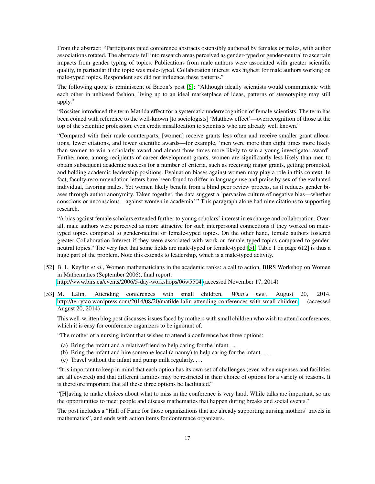From the abstract: "Participants rated conference abstracts ostensibly authored by females or males, with author associations rotated. The abstracts fell into research areas perceived as gender-typed or gender-neutral to ascertain impacts from gender typing of topics. Publications from male authors were associated with greater scientific quality, in particular if the topic was male-typed. Collaboration interest was highest for male authors working on male-typed topics. Respondent sex did not influence these patterns."

The following quote is reminiscent of Bacon's post [\[6\]](#page-3-2): "Although ideally scientists would communicate with each other in unbiased fashion, living up to an ideal marketplace of ideas, patterns of stereotyping may still apply."

"Rossiter introduced the term Matilda effect for a systematic underrecognition of female scientists. The term has been coined with reference to the well-known [to sociologists] 'Matthew effect'—overrecognition of those at the top of the scientific profession, even credit misallocation to scientists who are already well known."

"Compared with their male counterparts, [women] receive grants less often and receive smaller grant allocations, fewer citations, and fewer scientific awards—for example, 'men were more than eight times more likely than women to win a scholarly award and almost three times more likely to win a young investigator award'. Furthermore, among recipients of career development grants, women are significantly less likely than men to obtain subsequent academic success for a number of criteria, such as receiving major grants, getting promoted, and holding academic leadership positions. Evaluation biases against women may play a role in this context. In fact, faculty recommendation letters have been found to differ in language use and praise by sex of the evaluated individual, favoring males. Yet women likely benefit from a blind peer review process, as it reduces gender biases through author anonymity. Taken together, the data suggest a 'pervasive culture of negative bias—whether conscious or unconscious—against women in academia'." This paragraph alone had nine citations to supporting research.

"A bias against female scholars extended further to young scholars' interest in exchange and collaboration. Overall, male authors were perceived as more attractive for such interpersonal connections if they worked on maletyped topics compared to gender-neutral or female-typed topics. On the other hand, female authors fostered greater Collaboration Interest if they were associated with work on female-typed topics compared to genderneutral topics." The very fact that some fields are male-typed or female-typed [\[51,](#page-15-1) Table 1 on page 612] is thus a huge part of the problem. Note this extends to leadership, which is a male-typed activity.

- [52] B. L. Keyfitz *et al.*, Women mathematicians in the academic ranks: a call to action, BIRS Workshop on Women in Mathematics (September 2006), final report. <http://www.birs.ca/events/2006/5-day-workshops/06w5504> (accessed November 17, 2014)
- <span id="page-16-0"></span>[53] M. Lalin, Attending conferences with small children, *What's new*, August 20, 2014. <http://terrytao.wordpress.com/2014/08/20/matilde-lalin-attending-conferences-with-small-children> (accessed August 20, 2014)

This well-written blog post discusses issues faced by mothers with small children who wish to attend conferences, which it is easy for conference organizers to be ignorant of.

"The mother of a nursing infant that wishes to attend a conference has three options:

- (a) Bring the infant and a relative/friend to help caring for the infant. . . .
- (b) Bring the infant and hire someone local (a nanny) to help caring for the infant. . . .
- (c) Travel without the infant and pump milk regularly. . . .

"It is important to keep in mind that each option has its own set of challenges (even when expenses and facilities are all covered) and that different families may be restricted in their choice of options for a variety of reasons. It is therefore important that all these three options be facilitated."

"[H]aving to make choices about what to miss in the conference is very hard. While talks are important, so are the opportunities to meet people and discuss mathematics that happen during breaks and social events."

The post includes a "Hall of Fame for those organizations that are already supporting nursing mothers' travels in mathematics", and ends with action items for conference organizers.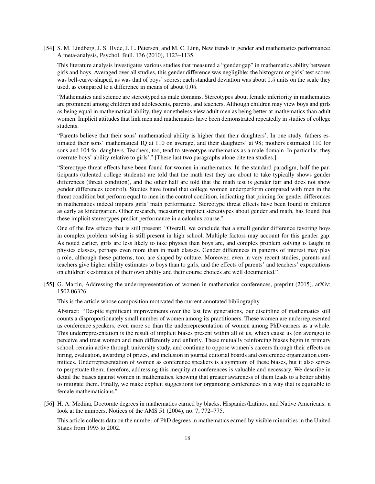<span id="page-17-1"></span>[54] S. M. Lindberg, J. S. Hyde, J. L. Petersen, and M. C. Linn, New trends in gender and mathematics performance: A meta-analysis, Psychol. Bull. 136 (2010), 1123–1135.

This literature analysis investigates various studies that measured a "gender gap" in mathematics ability between girls and boys. Averaged over all studies, this gender difference was negligible: the histogram of girls' test scores was bell-curve-shaped, as was that of boys' scores; each standard deviation was about 0.5 units on the scale they used, as compared to a difference in means of about 0.05.

"Mathematics and science are stereotyped as male domains. Stereotypes about female inferiority in mathematics are prominent among children and adolescents, parents, and teachers. Although children may view boys and girls as being equal in mathematical ability, they nonetheless view adult men as being better at mathematics than adult women. Implicit attitudes that link men and mathematics have been demonstrated repeatedly in studies of college students.

"Parents believe that their sons' mathematical ability is higher than their daughters'. In one study, fathers estimated their sons' mathematical IQ at 110 on average, and their daughters' at 98; mothers estimated 110 for sons and 104 for daughters. Teachers, too, tend to stereotype mathematics as a male domain. In particular, they overrate boys' ability relative to girls'." [These last two paragraphs alone cite ten studies.]

"Stereotype threat effects have been found for women in mathematics. In the standard paradigm, half the participants (talented college students) are told that the math test they are about to take typically shows gender differences (threat condition), and the other half are told that the math test is gender fair and does not show gender differences (control). Studies have found that college women underperform compared with men in the threat condition but perform equal to men in the control condition, indicating that priming for gender differences in mathematics indeed impairs girls' math performance. Stereotype threat effects have been found in children as early as kindergarten. Other research, measuring implicit stereotypes about gender and math, has found that these implicit stereotypes predict performance in a calculus course."

One of the few effects that is still present: "Overall, we conclude that a small gender difference favoring boys in complex problem solving is still present in high school. Multiple factors may account for this gender gap. As noted earlier, girls are less likely to take physics than boys are, and complex problem solving is taught in physics classes, perhaps even more than in math classes. Gender differences in patterns of interest may play a role, although these patterns, too, are shaped by culture. Moreover, even in very recent studies, parents and teachers give higher ability estimates to boys than to girls, and the effects of parents' and teachers' expectations on children's estimates of their own ability and their course choices are well documented."

<span id="page-17-0"></span>[55] G. Martin, Addressing the underrepresentation of women in mathematics conferences, preprint (2015). arXiv: 1502.06326

This is the article whose composition motivated the current annotated bibliography.

Abstract: "Despite significant improvements over the last few generations, our discipline of mathematics still counts a disproportionately small number of women among its practitioners. These women are underrepresented as conference speakers, even more so than the underrepresentation of women among PhD-earners as a whole. This underrepresentation is the result of implicit biases present within all of us, which cause us (on average) to perceive and treat women and men differently and unfairly. These mutually reinforcing biases begin in primary school, remain active through university study, and continue to oppose women's careers through their effects on hiring, evaluation, awarding of prizes, and inclusion in journal editorial boards and conference organization committees. Underrepresentation of women as conference speakers is a symptom of these biases, but it also serves to perpetuate them; therefore, addressing this inequity at conferences is valuable and necessary. We describe in detail the biases against women in mathematics, knowing that greater awareness of them leads to a better ability to mitigate them. Finally, we make explicit suggestions for organizing conferences in a way that is equitable to female mathematicians."

[56] H. A. Medina, Doctorate degrees in mathematics earned by blacks, Hispanics/Latinos, and Native Americans: a look at the numbers, Notices of the AMS 51 (2004), no. 7, 772–775.

This article collects data on the number of PhD degrees in mathematics earned by visible minorities in the United States from 1993 to 2002.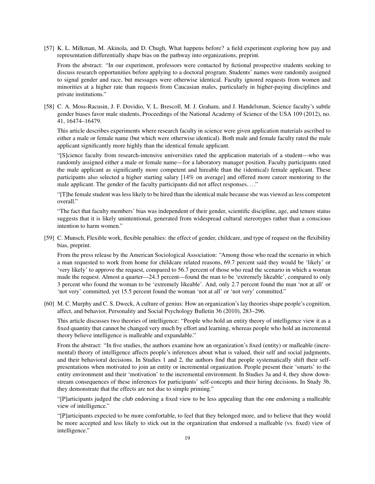<span id="page-18-1"></span>[57] K. L. Milkman, M. Akinola, and D. Chugh, What happens before? a field experiment exploring how pay and representation differentially shape bias on the pathway into organizations, preprint.

From the abstract: "In our experiment, professors were contacted by fictional prospective students seeking to discuss research opportunities before applying to a doctoral program. Students' names were randomly assigned to signal gender and race, but messages were otherwise identical. Faculty ignored requests from women and minorities at a higher rate than requests from Caucasian males, particularly in higher-paying disciplines and private institutions."

<span id="page-18-2"></span>[58] C. A. Moss-Racusin, J. F. Dovidio, V. L. Brescoll, M. J. Graham, and J. Handelsman, Science faculty's subtle gender biases favor male students, Proceedings of the National Academy of Science of the USA 109 (2012), no. 41, 16474–16479.

This article describes experiments where research faculty in science were given application materials ascribed to either a male or female name (but which were otherwise identical). Both male and female faculty rated the male applicant significantly more highly than the identical female applicant.

"[S]cience faculty from research-intensive universities rated the application materials of a student—who was randomly assigned either a male or female name—for a laboratory manager position. Faculty participants rated the male applicant as significantly more competent and hireable than the (identical) female applicant. These participants also selected a higher starting salary [14% on average] and offered more career mentoring to the male applicant. The gender of the faculty participants did not affect responses...."

"[T]he female student was less likely to be hired than the identical male because she was viewed as less competent overall."

"The fact that faculty members' bias was independent of their gender, scientific discipline, age, and tenure status suggests that it is likely unintentional, generated from widespread cultural stereotypes rather than a conscious intention to harm women."

<span id="page-18-3"></span>[59] C. Munsch, Flexible work, flexible penalties: the effect of gender, childcare, and type of request on the flexibility bias, preprint.

From the press release by the American Sociological Association: "Among those who read the scenario in which a man requested to work from home for childcare related reasons, 69.7 percent said they would be 'likely' or 'very likely' to approve the request, compared to 56.7 percent of those who read the scenario in which a woman made the request. Almost a quarter—24.3 percent—found the man to be 'extremely likeable', compared to only 3 percent who found the woman to be 'extremely likeable'. And, only 2.7 percent found the man 'not at all' or 'not very' committed, yet 15.5 percent found the woman 'not at all' or 'not very' committed."

<span id="page-18-0"></span>[60] M. C. Murphy and C. S. Dweck, A culture of genius: How an organization's lay theories shape people's cognition, affect, and behavior, Personality and Social Psychology Bulletin 36 (2010), 283–296.

This article discusses two theories of intelligence: "People who hold an entity theory of intelligence view it as a fixed quantity that cannot be changed very much by effort and learning, whereas people who hold an incremental theory believe intelligence is malleable and expandable."

From the abstract: "In five studies, the authors examine how an organization's fixed (entity) or malleable (incremental) theory of intelligence affects people's inferences about what is valued, their self and social judgments, and their behavioral decisions. In Studies 1 and 2, the authors find that people systematically shift their selfpresentations when motivated to join an entity or incremental organization. People present their 'smarts' to the entity environment and their 'motivation' to the incremental environment. In Studies 3a and 4, they show downstream consequences of these inferences for participants' self-concepts and their hiring decisions. In Study 3b, they demonstrate that the effects are not due to simple priming."

"[P]articipants judged the club endorsing a fixed view to be less appealing than the one endorsing a malleable view of intelligence."

"[P]articipants expected to be more comfortable, to feel that they belonged more, and to believe that they would be more accepted and less likely to stick out in the organization that endorsed a malleable (vs. fixed) view of intelligence."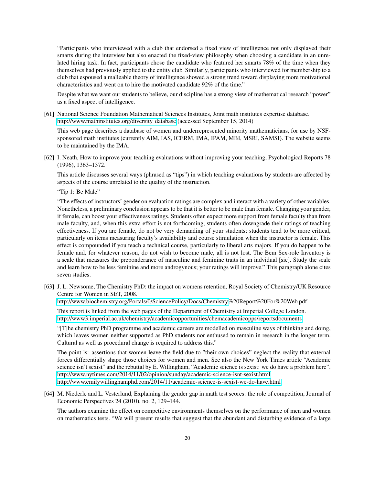"Participants who interviewed with a club that endorsed a fixed view of intelligence not only displayed their smarts during the interview but also enacted the fixed-view philosophy when choosing a candidate in an unrelated hiring task. In fact, participants chose the candidate who featured her smarts 78% of the time when they themselves had previously applied to the entity club. Similarly, participants who interviewed for membership to a club that espoused a malleable theory of intelligence showed a strong trend toward displaying more motivational characteristics and went on to hire the motivated candidate 92% of the time."

Despite what we want our students to believe, our discipline has a strong view of mathematical research "power" as a fixed aspect of intelligence.

<span id="page-19-2"></span>[61] National Science Foundation Mathematical Sciences Institutes, Joint math institutes expertise database. [http://www.mathinstitutes.org/diversity](http://www.mathinstitutes.org/diversity_database) database (accessed September 15, 2014)

This web page describes a database of women and underrepresented minority mathematicians, for use by NSFsponsored math institutes (currently AIM, IAS, ICERM, IMA, IPAM, MBI, MSRI, SAMSI). The website seems to be maintained by the IMA.

<span id="page-19-1"></span>[62] I. Neath, How to improve your teaching evaluations without improving your teaching, Psychological Reports 78 (1996), 1363–1372.

This article discusses several ways (phrased as "tips") in which teaching evaluations by students are affected by aspects of the course unrelated to the quality of the instruction.

"Tip 1: Be Male"

"The effects of instructors' gender on evaluation ratings are complex and interact with a variety of other variables. Nonetheless, a preliminary conclusion appears to be that it is better to be male than female. Changing your gender, if female, can boost your effectiveness ratings. Students often expect more support from female faculty than from male faculty, and, when this extra effort is not forthcoming, students often downgrade their ratings of teaching effectiveness. If you are female, do not be very demanding of your students; students tend to be more critical, particularly on items measuring faculty's availability and course stimulation when the instructor is female. This effect is compounded if you teach a technical course, particularly to liberal arts majors. If you do happen to be female and, for whatever reason, do not wish to become male, all is not lost. The Bem Sex-role Inventory is a scale that measures the preponderance of masculine and feminine traits in an indvidual [sic]. Study the scale and learn how to be less feminine and more androgynous; your ratings will improve." This paragraph alone cites seven studies.

[63] J. L. Newsome, The Chemistry PhD: the impact on womens retention, Royal Society of Chemistry/UK Resource Centre for Women in SET, 2008.

[http://www.biochemistry.org/Portals/0/SciencePolicy/Docs/Chemistry%](http://www.biochemistry.org/Portals/0/SciencePolicy/Docs/Chemistry)20Report%20For%20Web.pdf

This report is linked from the web pages of the Department of Chemistry at Imperial College London. <http://www3.imperial.ac.uk/chemistry/academicopportunities/chemacademicopps/reportsdocuments>

"[T]he chemistry PhD programme and academic careers are modelled on masculine ways of thinking and doing, which leaves women neither supported as PhD students nor enthused to remain in research in the longer term. Cultural as well as procedural change is required to address this."

The point is: assertions that women leave the field due to "their own choices" neglect the reality that external forces differentially shape those choices for women and men. See also the New York Times article "Academic science isn't sexist" and the rebuttal by E. Willingham, "Academic science is sexist: we do have a problem here". <http://www.nytimes.com/2014/11/02/opinion/sunday/academic-science-isnt-sexist.html> <http://www.emilywillinghamphd.com/2014/11/academic-science-is-sexist-we-do-have.html>

<span id="page-19-0"></span>[64] M. Niederle and L. Vesterlund, Explaining the gender gap in math test scores: the role of competition, Journal of Economic Perspectives 24 (2010), no. 2, 129–144.

The authors examine the effect on competitive environments themselves on the performance of men and women on mathematics tests. "We will present results that suggest that the abundant and disturbing evidence of a large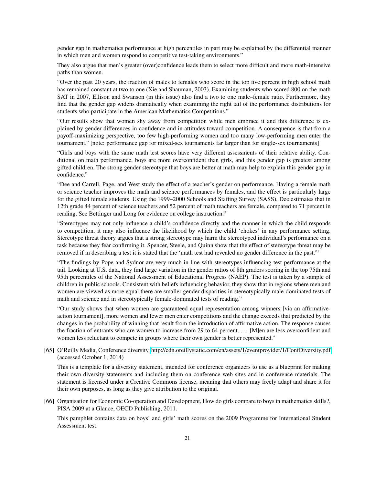gender gap in mathematics performance at high percentiles in part may be explained by the differential manner in which men and women respond to competitive test-taking environments."

They also argue that men's greater (over)confidence leads them to select more difficult and more math-intensive paths than women.

"Over the past 20 years, the fraction of males to females who score in the top five percent in high school math has remained constant at two to one (Xie and Shauman, 2003). Examining students who scored 800 on the math SAT in 2007, Ellison and Swanson (in this issue) also find a two to one male–female ratio. Furthermore, they find that the gender gap widens dramatically when examining the right tail of the performance distributions for students who participate in the American Mathematics Competitions."

"Our results show that women shy away from competition while men embrace it and this difference is explained by gender differences in confidence and in attitudes toward competition. A consequence is that from a payoff-maximizing perspective, too few high-performing women and too many low-performing men enter the tournament." [note: performance gap for mixed-sex tournaments far larger than for single-sex tournaments]

"Girls and boys with the same math test scores have very different assessments of their relative ability. Conditional on math performance, boys are more overconfident than girls, and this gender gap is greatest among gifted children. The strong gender stereotype that boys are better at math may help to explain this gender gap in confidence."

"Dee and Carrell, Page, and West study the effect of a teacher's gender on performance. Having a female math or science teacher improves the math and science performances by females, and the effect is particularly large for the gifted female students. Using the 1999–2000 Schools and Staffing Survey (SASS), Dee estimates that in 12th grade 44 percent of science teachers and 52 percent of math teachers are female, compared to 71 percent in reading. See Bettinger and Long for evidence on college instruction."

"Stereotypes may not only influence a child's confidence directly and the manner in which the child responds to competition, it may also influence the likelihood by which the child 'chokes' in any performance setting. Stereotype threat theory argues that a strong stereotype may harm the stereotyped individual's performance on a task because they fear confirming it. Spencer, Steele, and Quinn show that the effect of stereotype threat may be removed if in describing a test it is stated that the 'math test had revealed no gender difference in the past."'

"The findings by Pope and Sydnor are very much in line with stereotypes influencing test performance at the tail. Looking at U.S. data, they find large variation in the gender ratios of 8th graders scoring in the top 75th and 95th percentiles of the National Assessment of Educational Progress (NAEP). The test is taken by a sample of children in public schools. Consistent with beliefs influencing behavior, they show that in regions where men and women are viewed as more equal there are smaller gender disparities in stereotypically male-dominated tests of math and science and in stereotypically female-dominated tests of reading."

"Our study shows that when women are guaranteed equal representation among winners [via an affirmativeaction tournament], more women and fewer men enter competitions and the change exceeds that predicted by the changes in the probability of winning that result from the introduction of affirmative action. The response causes the fraction of entrants who are women to increase from 29 to 64 percent. . . . [M]en are less overconfident and women less reluctant to compete in groups where their own gender is better represented."

### <span id="page-20-1"></span>[65] O'Reilly Media, Conference diversity.<http://cdn.oreillystatic.com/en/assets/1/eventprovider/1/ConfDiversity.pdf> (accessed October 1, 2014)

This is a template for a diversity statement, intended for conference organizers to use as a blueprint for making their own diversity statements and including them on conference web sites and in conference materials. The statement is licensed under a Creative Commons license, meaning that others may freely adapt and share it for their own purposes, as long as they give attribution to the original.

<span id="page-20-0"></span>[66] Organisation for Economic Co-operation and Development, How do girls compare to boys in mathematics skills?, PISA 2009 at a Glance, OECD Publishing, 2011.

This pamphlet contains data on boys' and girls' math scores on the 2009 Programme for International Student Assessment test.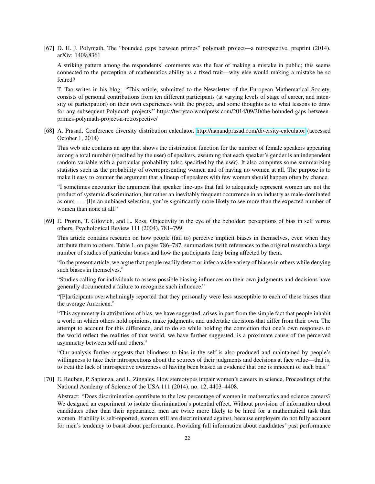[67] D. H. J. Polymath, The "bounded gaps between primes" polymath project—a retrospective, preprint (2014). arXiv: 1409.8361

A striking pattern among the respondents' comments was the fear of making a mistake in public; this seems connected to the perception of mathematics ability as a fixed trait—why else would making a mistake be so feared?

T. Tao writes in his blog: "This article, submitted to the Newsletter of the European Mathematical Society, consists of personal contributions from ten different participants (at varying levels of stage of career, and intensity of participation) on their own experiences with the project, and some thoughts as to what lessons to draw for any subsequent Polymath projects." https://terrytao.wordpress.com/2014/09/30/the-bounded-gaps-betweenprimes-polymath-project-a-retrospective/

<span id="page-21-2"></span>[68] A. Prasad, Conference diversity distribution calculator.<http://aanandprasad.com/diversity-calculator> (accessed October 1, 2014)

This web site contains an app that shows the distribution function for the number of female speakers appearing among a total number (specified by the user) of speakers, assuming that each speaker's gender is an independent random variable with a particular probability (also specified by the user). It also computes some summarizing statistics such as the probability of overrepresenting women and of having no women at all. The purpose is to make it easy to counter the argument that a lineup of speakers with few women should happen often by chance.

"I sometimes encounter the argument that speaker line-ups that fail to adequately represent women are not the product of systemic discrimination, but rather an inevitably frequent occurrence in an industry as male-dominated as ours. . . . [I]n an unbiased selection, you're significantly more likely to see more than the expected number of women than none at all."

<span id="page-21-1"></span>[69] E. Pronin, T. Gilovich, and L. Ross, Objectivity in the eye of the beholder: perceptions of bias in self versus others, Psychological Review 111 (2004), 781–799.

This article contains research on how people (fail to) perceive implicit biases in themselves, even when they attribute them to others. Table 1, on pages 786–787, summarizes (with references to the original research) a large number of studies of particular biases and how the participants deny being affected by them.

"In the present article, we argue that people readily detect or infer a wide variety of biases in others while denying such biases in themselves."

"Studies calling for individuals to assess possible biasing influences on their own judgments and decisions have generally documented a failure to recognize such influence."

"[P]articipants overwhelmingly reported that they personally were less susceptible to each of these biases than the average American."

"This asymmetry in attributions of bias, we have suggested, arises in part from the simple fact that people inhabit a world in which others hold opinions, make judgments, and undertake decisions that differ from their own. The attempt to account for this difference, and to do so while holding the conviction that one's own responses to the world reflect the realities of that world, we have further suggested, is a proximate cause of the perceived asymmetry between self and others."

"Our analysis further suggests that blindness to bias in the self is also produced and maintained by people's willingness to take their introspections about the sources of their judgments and decisions at face value—that is, to treat the lack of introspective awareness of having been biased as evidence that one is innocent of such bias."

<span id="page-21-0"></span>[70] E. Reuben, P. Sapienza, and L. Zingales, How stereotypes impair women's careers in science, Proceedings of the National Academy of Science of the USA 111 (2014), no. 12, 4403–4408.

Abstract: "Does discrimination contribute to the low percentage of women in mathematics and science careers? We designed an experiment to isolate discrimination's potential effect. Without provision of information about candidates other than their appearance, men are twice more likely to be hired for a mathematical task than women. If ability is self-reported, women still are discriminated against, because employers do not fully account for men's tendency to boast about performance. Providing full information about candidates' past performance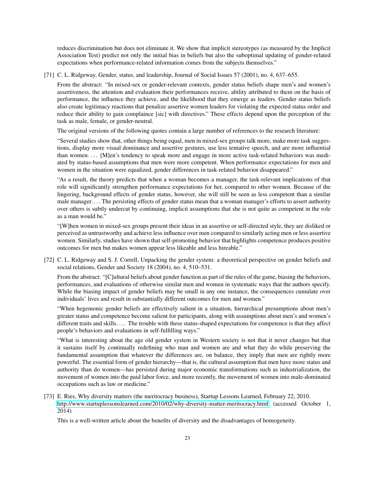reduces discrimination but does not eliminate it. We show that implicit stereotypes (as measured by the Implicit Association Test) predict not only the initial bias in beliefs but also the suboptimal updating of gender-related expectations when performance-related information comes from the subjects themselves."

<span id="page-22-2"></span>[71] C. L. Ridgeway, Gender, status, and leadership, Journal of Social Issues 57 (2001), no. 4, 637–655.

From the abstract: "In mixed-sex or gender-relevant contexts, gender status beliefs shape men's and women's assertiveness, the attention and evaluation their performances receive, ability attributed to them on the basis of performance, the influence they achieve, and the likelihood that they emerge as leaders. Gender status beliefs also create legitimacy reactions that penalize assertive women leaders for violating the expected status order and reduce their ability to gain complaince [sic] with directives." These effects depend upon the perception of the task as male, female, or gender-neutral.

The original versions of the following quotes contain a large number of references to the research literature:

"Several studies show that, other things being equal, men in mixed-sex groups talk more, make more task suggestions, display more visual dominance and assertive gestures, use less tentative speech, and are more influential than women. . . . [M]en's tendency to speak more and engage in more active task-related behaviors was mediated by status-based assumptions that men were more competent. When performance expectations for men and women in the situation were equalized, gender differences in task-related behavior disappeared."

"As a result, the theory predicts that when a woman becomes a manager, the task-relevant implications of that role will significantly strengthen performance expectations for her, compared to other women. Because of the lingering, background effects of gender status, however, she will still be seen as less competent than a similar male manager. . . . The persisting effects of gender status mean that a woman manager's efforts to assert authority over others is subtly undercut by continuing, implicit assumptions that she is not quite as competent in the role as a man would be."

"[W]hen women in mixed-sex groups present their ideas in an assertive or self-directed style, they are disliked or perceived as untrustworthy and achieve less influence over men compared to similarly acting men or less assertive women. Similarly, studies have shown that self-promoting behavior that highlights competence produces positive outcomes for men but makes women appear less likeable and less hireable."

<span id="page-22-1"></span>[72] C. L. Ridgeway and S. J. Correll, Unpacking the gender system: a theoretical perspective on gender beliefs and social relations, Gender and Society 18 (2004), no. 4, 510–531.

From the abstract: "[C]ultural beliefs about gender function as part of the rules of the game, biasing the behaviors, performances, and evaluations of otherwise similar men and women in systematic ways that the authors specify. While the biasing impact of gender beliefs may be small in any one instance, the consequences cumulate over individuals' lives and result in substantially different outcomes for men and women."

"When hegemonic gender beliefs are effectively salient in a situation, hierarchical presumptions about men's greater status and competence become salient for participants, along with assumptions about men's and women's different traits and skills. . . . The trouble with these status-shaped expectations for competence is that they affect people's behaviors and evaluations in self-fulfilling ways."

"What is interesting about the age old gender system in Western society is not that it never changes but that it sustains itself by continually redefining who man and women are and what they do while preserving the fundamental assumption that whatever the differences are, on balance, they imply that men are rightly more powerful. The essential form of gender hierarchy—that is, the cultural assumption that men have more status and authority than do women—has persisted during major economic transformations such as industrialization, the movement of women into the paid labor force, and more recently, the movement of women into male-dominated occupations such as law or medicine."

<span id="page-22-0"></span>[73] E. Ries, Why diversity matters (the meritocracy business), Startup Lessons Learned, February 22, 2010. <http://www.startuplessonslearned.com/2010/02/why-diversity-matter-meritocracy.html> (accessed October 1, 2014)

This is a well-written article about the benefits of diversity and the disadvantages of homogeneity.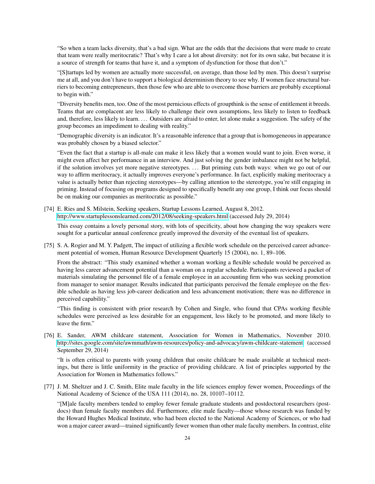"So when a team lacks diversity, that's a bad sign. What are the odds that the decisions that were made to create that team were really meritocratic? That's why I care a lot about diversity: not for its own sake, but because it is a source of strength for teams that have it, and a symptom of dysfunction for those that don't."

"[S]tartups led by women are actually more successful, on average, than those led by men. This doesn't surprise me at all, and you don't have to support a biological determinism theory to see why. If women face structural barriers to becoming entrepreneurs, then those few who are able to overcome those barriers are probably exceptional to begin with."

"Diversity benefits men, too. One of the most pernicious effects of groupthink is the sense of entitlement it breeds. Teams that are complacent are less likely to challenge their own assumptions, less likely to listen to feedback and, therefore, less likely to learn. . . . Outsiders are afraid to enter, let alone make a suggestion. The safety of the group becomes an impediment to dealing with reality."

"Demographic diversity is an indicator. It's a reasonable inference that a group that is homogeneous in appearance was probably chosen by a biased selector."

"Even the fact that a startup is all-male can make it less likely that a women would want to join. Even worse, it might even affect her performance in an interview. And just solving the gender imbalance might not be helpful, if the solution involves yet more negative stereotypes. . . . But priming cuts both ways: when we go out of our way to affirm meritocracy, it actually improves everyone's performance. In fact, explicitly making meritocracy a value is actually better than rejecting stereotypes—by calling attention to the stereotype, you're still engaging in priming. Instead of focusing on programs designed to specifically benefit any one group, I think our focus should be on making our companies as meritocratic as possible."

<span id="page-23-2"></span>[74] E. Ries and S. Milstein, Seeking speakers, Startup Lessons Learned, August 8, 2012. <http://www.startuplessonslearned.com/2012/08/seeking-speakers.html> (accessed July 29, 2014)

This essay contains a lovely personal story, with lots of specificity, about how changing the way speakers were sought for a particular annual conference greatly improved the diversity of the eventual list of speakers.

<span id="page-23-0"></span>[75] S. A. Rogier and M. Y. Padgett, The impact of utilizing a flexible work schedule on the perceived career advancement potential of women, Human Resource Development Quarterly 15 (2004), no. 1, 89–106.

From the abstract: "This study examined whether a woman working a flexible schedule would be perceived as having less career advancement potential than a woman on a regular schedule. Participants reviewed a packet of materials simulating the personnel file of a female employee in an accounting firm who was seeking promotion from manager to senior manager. Results indicated that participants perceived the female employee on the flexible schedule as having less job-career dedication and less advancement motivation; there was no difference in perceived capability."

"This finding is consistent with prior research by Cohen and Single, who found that CPAs working flexible schedules were perceived as less desirable for an engagement, less likely to be promoted, and more likely to leave the firm."

<span id="page-23-1"></span>[76] E. Sander, AWM childcare statement, Association for Women in Mathematics, November 2010. <http://sites.google.com/site/awmmath/awm-resources/policy-and-advocacy/awm-childcare-statement> (accessed September 29, 2014)

"It is often critical to parents with young children that onsite childcare be made available at technical meetings, but there is little uniformity in the practice of providing childcare. A list of principles supported by the Association for Women in Mathematics follows."

<span id="page-23-3"></span>[77] J. M. Sheltzer and J. C. Smith, Elite male faculty in the life sciences employ fewer women, Proceedings of the National Academy of Science of the USA 111 (2014), no. 28, 10107–10112.

"[M]ale faculty members tended to employ fewer female graduate students and postdoctoral researchers (postdocs) than female faculty members did. Furthermore, elite male faculty—those whose research was funded by the Howard Hughes Medical Institute, who had been elected to the National Academy of Sciences, or who had won a major career award—trained significantly fewer women than other male faculty members. In contrast, elite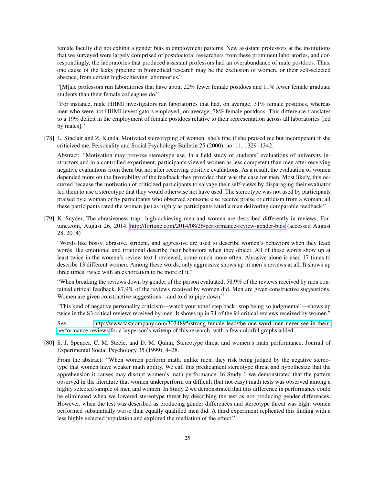female faculty did not exhibit a gender bias in employment patterns. New assistant professors at the institutions that we surveyed were largely comprised of postdoctoral researchers from these prominent laboratories, and correspondingly, the laboratories that produced assistant professors had an overabundance of male postdocs. Thus, one cause of the leaky pipeline in biomedical research may be the exclusion of women, or their self-selected absence, from certain high-achieving laboratories."

"[M]ale professors run laboratories that have about 22% fewer female postdocs and 11% fewer female graduate students than their female colleagues do."

"For instance, male HHMI investigators ran laboratories that had, on average, 31% female postdocs, whereas men who were not HHMI investigators employed, on average, 38% female postdocs. This difference translates to a 19% deficit in the employment of female postdocs relative to their representation across all laboratories [led by males]."

<span id="page-24-1"></span>[78] L. Sinclair and Z. Kunda, Motivated stereotyping of women: she's fine if she praised me but incompetent if she criticized me, Personality and Social Psychology Bulletin 25 (2000), no. 11, 1329–1342.

Abstract: "Motivation may provoke stereotype use. In a field study of students' evaluations of university instructors and in a controlled experiment, participants viewed women as less competent than men after receiving negative evaluations from them but not after receiving positive evaluations. As a result, the evaluation of women depended more on the favorability of the feedback they provided than was the case for men. Most likely, this occurred because the motivation of criticized participants to salvage their self-views by disparaging their evaluator led them to use a stereotype that they would otherwise not have used. The stereotype was not used by participants praised by a woman or by participants who observed someone else receive praise or criticism from a woman; all these participants rated the woman just as highly as participants rated a man delivering comparable feedback."

<span id="page-24-0"></span>[79] K. Snyder, The abrasiveness trap: high-achieving men and women are described differently in reviews, Fortune.com, August 26, 2014.<http://fortune.com/2014/08/26/performance-review-gender-bias> (accessed August 28, 2014)

"Words like bossy, abrasive, strident, and aggressive are used to describe women's behaviors when they lead; words like emotional and irrational describe their behaviors when they object. All of these words show up at least twice in the women's review text I reviewed, some much more often. Abrasive alone is used 17 times to describe 13 different women. Among these words, only aggressive shows up in men's reviews at all. It shows up three times, twice with an exhortation to be more of it."

"When breaking the reviews down by gender of the person evaluated, 58.9% of the reviews received by men contained critical feedback. 87.9% of the reviews received by women did. Men are given constructive suggestions. Women are given constructive suggestions—and told to pipe down."

"This kind of negative personality criticism—watch your tone! step back! stop being so judgmental!—shows up twice in the 83 critical reviews received by men. It shows up in 71 of the 94 critical reviews received by women."

See [http://www.fastcompany.com/3034895/strong-female-lead/the-one-word-men-never-see-in-their](http://www.fastcompany.com/3034895/strong-female-lead/the-one-word-men-never-see-in-their-performance-reviews)[performance-reviews](http://www.fastcompany.com/3034895/strong-female-lead/the-one-word-men-never-see-in-their-performance-reviews) for a layperson's writeup of this research, with a few colorful graphs added.

<span id="page-24-2"></span>[80] S. J. Spencer, C. M. Steele, and D. M. Quinn, Stereotype threat and women's math performance, Journal of Experimental Social Psychology 35 (1999), 4–28.

From the abstract: "When women perform math, unlike men, they risk being judged by the negative stereotype that women have weaker math ability. We call this predicament stereotype threat and hypothesize that the apprehension it causes may disrupt women's math performance. In Study 1 we demonstrated that the pattern observed in the literature that women underperform on difficult (but not easy) math tests was observed among a highly selected sample of men and women. In Study 2 we demonstrated that this difference in performance could be eliminated when we lowered stereotype threat by describing the test as not producing gender differences. However, when the test was described as producing gender differences and stereotype threat was high, women performed substantially worse than equally qualified men did. A third experiment replicated this finding with a less highly selected population and explored the mediation of the effect."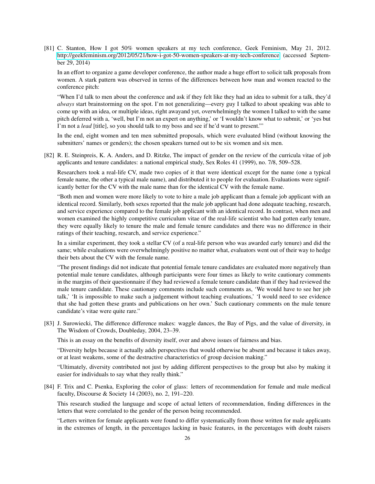<span id="page-25-2"></span>[81] C. Stanton, How I got 50% women speakers at my tech conference, Geek Feminism, May 21, 2012. <http://geekfeminism.org/2012/05/21/how-i-got-50-women-speakers-at-my-tech-conference> (accessed September 29, 2014)

In an effort to organize a game developer conference, the author made a huge effort to solicit talk proposals from women. A stark pattern was observed in terms of the differences between how man and women reacted to the conference pitch:

"When I'd talk to men about the conference and ask if they felt like they had an idea to submit for a talk, they'd *always* start brainstorming on the spot. I'm not generalizing—every guy I talked to about speaking was able to come up with an idea, or multiple ideas, right awayand yet, overwhelmingly the women I talked to with the same pitch deferred with a, 'well, but I'm not an expert on anything,' or 'I wouldn't know what to submit,' or 'yes but I'm not a *lead* [title], so you should talk to my boss and see if he'd want to present."'

In the end, eight women and ten men submitted proposals, which were evaluated blind (without knowing the submitters' names or genders); the chosen speakers turned out to be six women and six men.

<span id="page-25-0"></span>[82] R. E. Steinpreis, K. A. Anders, and D. Ritzke, The impact of gender on the review of the curricula vitae of job applicants and tenure candidates: a national empirical study, Sex Roles 41 (1999), no. 7/8, 509–528.

Researchers took a real-life CV, made two copies of it that were identical except for the name (one a typical female name, the other a typical male name), and distributed it to people for evaluation. Evaluations were significantly better for the CV with the male name than for the identical CV with the female name.

"Both men and women were more likely to vote to hire a male job applicant than a female job applicant with an identical record. Similarly, both sexes reported that the male job applicant had done adequate teaching, research, and service experience compared to the female job applicant with an identical record. In contrast, when men and women examined the highly competitive curriculum vitae of the real-life scientist who had gotten early tenure, they were equally likely to tenure the male and female tenure candidates and there was no difference in their ratings of their teaching, research, and service experience."

In a similar experiment, they took a stellar CV (of a real-life person who was awarded early tenure) and did the same; while evaluations were overwhelmingly positive no matter what, evaluators went out of their way to hedge their bets about the CV with the female name.

"The present findings did not indicate that potential female tenure candidates are evaluated more negatively than potential male tenure candidates, although participants were four times as likely to write cautionary comments in the margins of their questionnaire if they had reviewed a female tenure candidate than if they had reviewed the male tenure candidate. These cautionary comments include such comments as, 'We would have to see her job talk,' 'It is impossible to make such a judgement without teaching evaluations,' 'I would need to see evidence that she had gotten these grants and publications on her own.' Such cautionary comments on the male tenure candidate's vitae were quite rare."

<span id="page-25-3"></span>[83] J. Surowiecki, The difference difference makes: waggle dances, the Bay of Pigs, and the value of diversity, in The Wisdom of Crowds, Doubleday, 2004, 23–39.

This is an essay on the benefits of diversity itself, over and above issues of fairness and bias.

"Diversity helps because it actually adds perspectives that would otherwise be absent and because it takes away, or at least weakens, some of the destructive characteristics of group decision making."

"Ultimately, diversity contributed not just by adding different perspectives to the group but also by making it easier for individuals to say what they really think."

<span id="page-25-1"></span>[84] F. Trix and C. Psenka, Exploring the color of glass: letters of recommendation for female and male medical faculty, Discourse & Society 14 (2003), no. 2, 191–220.

This research studied the language and scope of actual letters of recommendation, finding differences in the letters that were correlated to the gender of the person being recommended.

"Letters written for female applicants were found to differ systematically from those written for male applicants in the extremes of length, in the percentages lacking in basic features, in the percentages with doubt raisers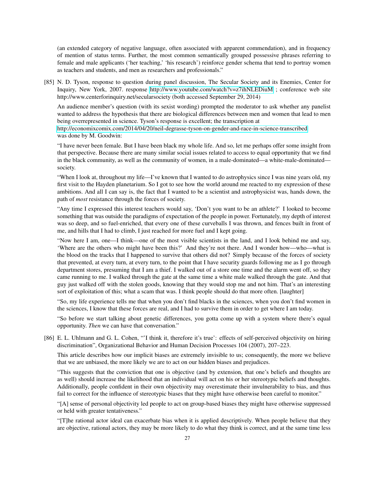(an extended category of negative language, often associated with apparent commendation), and in frequency of mention of status terms. Further, the most common semantically grouped possessive phrases referring to female and male applicants ('her teaching,' 'his research') reinforce gender schema that tend to portray women as teachers and students, and men as researchers and professionals."

<span id="page-26-0"></span>[85] N. D. Tyson, response to question during panel discussion, The Secular Society and its Enemies, Center for Inquiry, New York, 2007. response<http://www.youtube.com/watch?v=z7ihNLEDiuM> ; conference web site http://www.centerforinquiry.net/secularsociety (both accessed September 29, 2014)

An audience member's question (with its sexist wording) prompted the moderator to ask whether any panelist wanted to address the hypothesis that there are biological differences between men and women that lead to men being overrepresented in science. Tyson's response is excellent; the transcription at

<http://economixcomix.com/2014/04/20/neil-degrasse-tyson-on-gender-and-race-in-science-transcribed> was done by M. Goodwin:

"I have never been female. But I have been black my whole life. And so, let me perhaps offer some insight from that perspective. Because there are many similar social issues related to access to equal opportunity that we find in the black community, as well as the community of women, in a male-dominated—a white-male-dominated society.

"When I look at, throughout my life—I've known that I wanted to do astrophysics since I was nine years old, my first visit to the Hayden planetarium. So I got to see how the world around me reacted to my expression of these ambitions. And all I can say is, the fact that I wanted to be a scientist and astrophysicist was, hands down, the path of *most* resistance through the forces of society.

"Any time I expressed this interest teachers would say, 'Don't you want to be an athlete?' I looked to become something that was outside the paradigms of expectation of the people in power. Fortunately, my depth of interest was so deep, and so fuel-enriched, that every one of these curveballs I was thrown, and fences built in front of me, and hills that I had to climb, I just reached for more fuel and I kept going.

"Now here I am, one—I think—one of the most visible scientists in the land, and I look behind me and say, 'Where are the others who might have been this?' And they're not there. And I wonder how—who—what is the blood on the tracks that I happened to survive that others did not? Simply because of the forces of society that prevented, at every turn, at every turn, to the point that I have security guards following me as I go through department stores, presuming that I am a thief. I walked out of a store one time and the alarm went off, so they came running to me. I walked through the gate at the same time a white male walked through the gate. And that guy just walked off with the stolen goods, knowing that they would stop me and not him. That's an interesting sort of exploitation of this; what a scam that was. I think people should do that more often. [laughter]

"So, my life experience tells me that when you don't find blacks in the sciences, when you don't find women in the sciences, I know that these forces are real, and I had to survive them in order to get where I am today.

"So before we start talking about genetic differences, you gotta come up with a system where there's equal opportunity. *Then* we can have that conversation."

<span id="page-26-1"></span>[86] E. L. Uhlmann and G. L. Cohen, "'I think it, therefore it's true': effects of self-perceived objectivity on hiring discrimination", Organizational Behavior and Human Decision Processes 104 (2007), 207–223.

This article describes how our implicit biases are extremely invisible to us; consequently, the more we believe that we are unbiased, the more likely we are to act on our hidden biases and prejudices.

"This suggests that the conviction that one is objective (and by extension, that one's beliefs and thoughts are as well) should increase the likelihood that an individual will act on his or her stereotypic beliefs and thoughts. Additionally, people confident in their own objectivity may overestimate their invulnerability to bias, and thus fail to correct for the influence of stereotypic biases that they might have otherwise been careful to monitor."

"[A] sense of personal objectivity led people to act on group-based biases they might have otherwise suppressed or held with greater tentativeness."

"[T]he rational actor ideal can exacerbate bias when it is applied descriptively. When people believe that they are objective, rational actors, they may be more likely to do what they think is correct, and at the same time less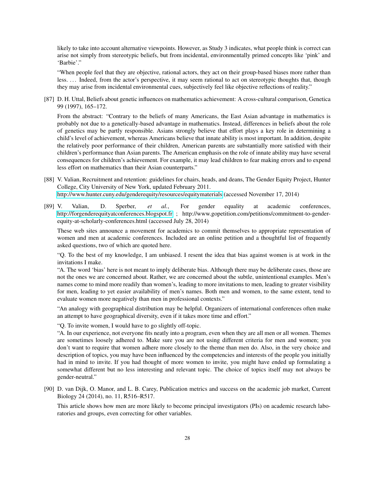likely to take into account alternative viewpoints. However, as Study 3 indicates, what people think is correct can arise not simply from stereotypic beliefs, but from incidental, environmentally primed concepts like 'pink' and 'Barbie'."

"When people feel that they are objective, rational actors, they act on their group-based biases more rather than less. . . . Indeed, from the actor's perspective, it may seem rational to act on stereotypic thoughts that, though they may arise from incidental environmental cues, subjectively feel like objective reflections of reality."

<span id="page-27-0"></span>[87] D. H. Uttal, Beliefs about genetic influences on mathematics achievement: A cross-cultural comparison, Genetica 99 (1997), 165–172.

From the abstract: "Contrary to the beliefs of many Americans, the East Asian advantage in mathematics is probably not due to a genetically-based advantage in mathematics. Instead, differences in beliefs about the role of genetics may be partly responsible. Asians strongly believe that effort plays a key role in determining a child's level of achievement, whereas Americans believe that innate ability is most important. In addition, despite the relatively poor performance of their children, American parents are substantially more satisfied with their children's performance than Asian parents. The American emphasis on the role of innate ability may have several consequences for children's achievement. For example, it may lead children to fear making errors and to expend less effort on mathematics than their Asian counterparts."

- [88] V. Valian, Recruitment and retention: guidelines for chairs, heads, and deans, The Gender Equity Project, Hunter College, City University of New York, updated February 2011. <http://www.hunter.cuny.edu/genderequity/resources/equitymaterials> (accessed November 17, 2014)
- <span id="page-27-1"></span>[89] V. Valian, D. Sperber, *et al.*, For gender equality at academic conferences, <http://forgenderequityatconferences.blogspot.fr> ; http://www.gopetition.com/petitions/commitment-to-genderequity-at-scholarly-conferences.html (accessed July 28, 2014)

These web sites announce a movement for academics to commit themselves to appropriate representation of women and men at academic conferences. Included are an online petition and a thoughtful list of frequently asked questions, two of which are quoted here.

"Q. To the best of my knowledge, I am unbiased. I resent the idea that bias against women is at work in the invitations I make.

"A. The word 'bias' here is not meant to imply deliberate bias. Although there may be deliberate cases, those are not the ones we are concerned about. Rather, we are concerned about the subtle, unintentional examples. Men's names come to mind more readily than women's, leading to more invitations to men, leading to greater visibility for men, leading to yet easier availability of men's names. Both men and women, to the same extent, tend to evaluate women more negatively than men in professional contexts."

"An analogy with geographical distribution may be helpful. Organizers of international conferences often make an attempt to have geographical diversity, even if it takes more time and effort."

"Q. To invite women, I would have to go slightly off-topic.

"A. In our experience, not everyone fits neatly into a program, even when they are all men or all women. Themes are sometimes loosely adhered to. Make sure you are not using different criteria for men and women; you don't want to require that women adhere more closely to the theme than men do. Also, in the very choice and description of topics, you may have been influenced by the competencies and interests of the people you initially had in mind to invite. If you had thought of more women to invite, you might have ended up formulating a somewhat different but no less interesting and relevant topic. The choice of topics itself may not always be gender-neutral."

<span id="page-27-2"></span>[90] D. van Dijk, O. Manor, and L. B. Carey, Publication metrics and success on the academic job market, Current Biology 24 (2014), no. 11, R516–R517.

This article shows how men are more likely to become principal investigators (PIs) on academic research laboratories and groups, even correcting for other variables.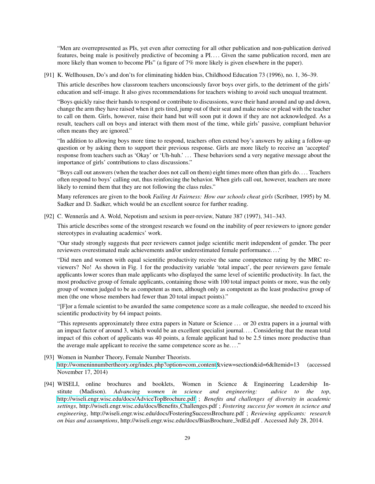"Men are overrepresented as PIs, yet even after correcting for all other publication and non-publication derived features, being male is positively predictive of becoming a PI.... Given the same publication record, men are more likely than women to become PIs" (a figure of 7% more likely is given elsewhere in the paper).

<span id="page-28-0"></span>[91] K. Wellhousen, Do's and don'ts for eliminating hidden bias, Childhood Education 73 (1996), no. 1, 36–39.

This article describes how classroom teachers unconsciously favor boys over girls, to the detriment of the girls' education and self-image. It also gives recommendations for teachers wishing to avoid such unequal treatment.

"Boys quickly raise their hands to respond or contribute to discussions, wave their hand around and up and down, change the arm they have raised when it gets tired, jump out of their seat and make noise or plead with the teacher to call on them. Girls, however, raise their hand but will soon put it down if they are not acknowledged. As a result, teachers call on boys and interact with them most of the time, while girls' passive, compliant behavior often means they are ignored."

"In addition to allowing boys more time to respond, teachers often extend boy's answers by asking a follow-up question or by asking them to support their previous response. Girls are more likely to receive an 'accepted' response from teachers such as 'Okay' or 'Uh-huh.' ... These behaviors send a very negative message about the importance of girls' contributions to class discussions."

"Boys call out answers (when the teacher does not call on them) eight times more often than girls do. . . . Teachers often respond to boys' calling out, thus reinforcing the behavior. When girls call out, however, teachers are more likely to remind them that they are not following the class rules."

Many references are given to the book *Failing At Fairness: How our schools cheat girls* (Scribner, 1995) by M. Sadker and D. Sadker, which would be an excellent source for further reading.

<span id="page-28-2"></span>[92] C. Wennerås and A. Wold, Nepotism and sexism in peer-review, Nature 387 (1997), 341–343.

This article describes some of the strongest research we found on the inability of peer reviewers to ignore gender stereotypes in evaluating academics' work.

"Our study strongly suggests that peer reviewers cannot judge scientific merit independent of gender. The peer reviewers overestimated male achievements and/or underestimated female performance. . . ."

"Did men and women with equal scientific productivity receive the same competence rating by the MRC reviewers? No! As shown in Fig. 1 for the productivity variable 'total impact', the peer reviewers gave female applicants lower scores than male applicants who displayed the same level of scientific productivity. In fact, the most productive group of female applicants, containing those with 100 total impact points or more, was the only group of women judged to be as competent as men, although only as competent as the least productive group of men (the one whose members had fewer than 20 total impact points)."

"[F]or a female scientist to be awarded the same competence score as a male colleague, she needed to exceed his scientific productivity by 64 impact points.

"This represents approximately three extra papers in Nature or Science . . . or 20 extra papers in a journal with an impact factor of around 3, which would be an excellent specialist journal. . . . Considering that the mean total impact of this cohort of applicants was 40 points, a female applicant had to be 2.5 times more productive than the average male applicant to receive the same competence score as he. . . ."

- [93] Women in Number Theory, Female Number Theorists. [http://womeninnumbertheory.org/index.php?option=com](http://womeninnumbertheory.org/index.php?option=com_content) content&view=section&id=6&Itemid=13 (accessed November 17, 2014)
- <span id="page-28-1"></span>[94] WISELI, online brochures and booklets, Women in Science & Engineering Leadership Institute (Madison). *Advancing women in science and engineering: advice to the top*, <http://wiseli.engr.wisc.edu/docs/AdviceTopBrochure.pdf> ; *Benefits and challenges of diversity in academic settings*, http://wiseli.engr.wisc.edu/docs/Benefits Challenges.pdf ; *Fostering success for women in science and engineering*, http://wiseli.engr.wisc.edu/docs/FosteringSuccessBrochure.pdf ; *Reviewing applicants: research on bias and assumptions*, http://wiseli.engr.wisc.edu/docs/BiasBrochure 3rdEd.pdf . Accessed July 28, 2014.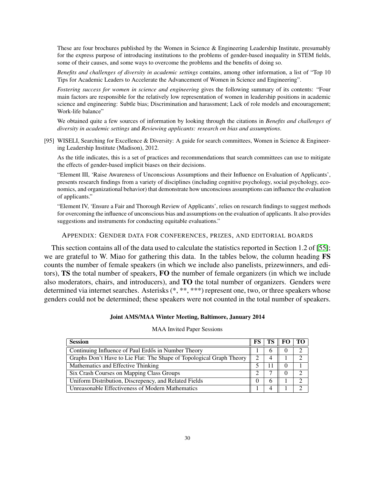These are four brochures published by the Women in Science & Engineering Leadership Institute, presumably for the express purpose of introducing institutions to the problems of gender-based inequality in STEM fields, some of their causes, and some ways to overcome the problems and the benefits of doing so.

*Benefits and challenges of diversity in academic settings* contains, among other information, a list of "Top 10 Tips for Academic Leaders to Accelerate the Advancement of Women in Science and Engineering".

*Fostering success for women in science and engineering* gives the following summary of its contents: "Four main factors are responsible for the relatively low representation of women in leadership positions in academic science and engineering: Subtle bias; Discrimination and harassment; Lack of role models and encouragement; Work-life balance"

We obtained quite a few sources of information by looking through the citations in *Benefits and challenges of diversity in academic settings* and *Reviewing applicants: research on bias and assumptions*.

<span id="page-29-0"></span>[95] WISELI, Searching for Excellence & Diversity: A guide for search committees, Women in Science & Engineering Leadership Institute (Madison), 2012.

As the title indicates, this is a set of practices and recommendations that search committees can use to mitigate the effects of gender-based implicit biases on their decisions.

"Element III, 'Raise Awareness of Unconscious Assumptions and their Influence on Evaluation of Applicants', presents research findings from a variety of disciplines (including cognitive psychology, social psychology, economics, and organizational behavior) that demonstrate how unconscious assumptions can influence the evaluation of applicants."

"Element IV, 'Ensure a Fair and Thorough Review of Applicants', relies on research findings to suggest methods for overcoming the influence of unconscious bias and assumptions on the evaluation of applicants. It also provides suggestions and instruments for conducting equitable evaluations."

APPENDIX: GENDER DATA FOR CONFERENCES, PRIZES, AND EDITORIAL BOARDS

This section contains all of the data used to calculate the statistics reported in Section 1.2 of [\[55\]](#page-17-0); we are grateful to W. Miao for gathering this data. In the tables below, the column heading **FS** counts the number of female speakers (in which we include also panelists, prizewinners, and editors), TS the total number of speakers, FO the number of female organizers (in which we include also moderators, chairs, and introducers), and TO the total number of organizers. Genders were determined via internet searches. Asterisks (\*, \*\*, \*\*\*) represent one, two, or three speakers whose genders could not be determined; these speakers were not counted in the total number of speakers.

#### Joint AMS/MAA Winter Meeting, Baltimore, January 2014

| <b>Session</b>                                                       |   |  |
|----------------------------------------------------------------------|---|--|
| Continuing Influence of Paul Erdős in Number Theory                  |   |  |
| Graphs Don't Have to Lie Flat: The Shape of Topological Graph Theory |   |  |
| Mathematics and Effective Thinking                                   |   |  |
| Six Crash Courses on Mapping Class Groups                            |   |  |
| Uniform Distribution, Discrepency, and Related Fields                | 6 |  |
| Unreasonable Effectiveness of Modern Mathematics                     |   |  |

MAA Invited Paper Sessions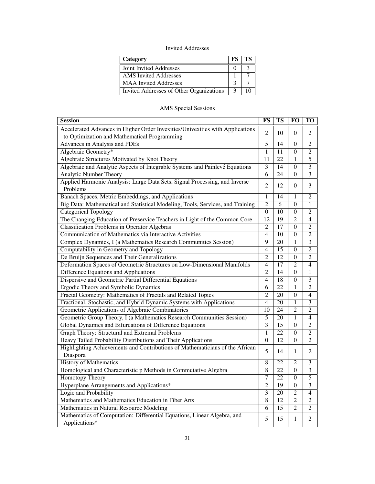## Invited Addresses

| Category                                 | -FS | B |
|------------------------------------------|-----|---|
| Joint Invited Addresses                  |     |   |
| <b>AMS</b> Invited Addresses             |     |   |
| <b>MAA</b> Invited Addresses             |     |   |
| Invited Addresses of Other Organizations |     |   |

# AMS Special Sessions

| <b>Session</b>                                                                           | <b>FS</b>       | $\overline{\text{TS}}$ | $\overline{FO}$  | <b>TO</b>               |
|------------------------------------------------------------------------------------------|-----------------|------------------------|------------------|-------------------------|
| Accelerated Advances in Higher Order Invexities/Univexities with Applications            |                 |                        |                  |                         |
| to Optimization and Mathematical Programming                                             | 2               | 10                     | $\theta$         | 2                       |
| Advances in Analysis and PDEs                                                            | 5               | 14                     | $\overline{0}$   | $\overline{2}$          |
| Algebraic Geometry*                                                                      | $\mathbf{1}$    | 11                     | $\overline{0}$   | $\overline{2}$          |
| Algebraic Structures Motivated by Knot Theory                                            | 11              | $\overline{22}$        | $\mathbf{1}$     | $\overline{5}$          |
| Algebraic and Analytic Aspects of Integrable Systems and Painlevé Equations              | $\overline{3}$  | 14                     | $\overline{0}$   | $\overline{\mathbf{3}}$ |
| <b>Analytic Number Theory</b>                                                            | 6               | $\overline{24}$        | $\overline{0}$   | $\overline{3}$          |
| Applied Harmonic Analysis: Large Data Sets, Signal Processing, and Inverse<br>Problems   | $\overline{2}$  | 12                     | $\theta$         | 3                       |
| Banach Spaces, Metric Embeddings, and Applications                                       | $\mathbf{1}$    | 14                     | $\mathbf{1}$     | $\overline{2}$          |
| Big Data: Mathematical and Statistical Modeling, Tools, Services, and Training           | $\overline{2}$  | 6                      | $\overline{0}$   | 1                       |
| <b>Categorical Topology</b>                                                              | $\theta$        | $\overline{10}$        | $\theta$         | $\overline{2}$          |
| The Changing Education of Preservice Teachers in Light of the Common Core                | $\overline{12}$ | $\overline{19}$        | 2                | $\overline{4}$          |
| <b>Classification Problems in Operator Algebras</b>                                      | $\overline{2}$  | $\overline{17}$        | $\overline{0}$   | $\overline{2}$          |
| Communication of Mathematics via Interactive Activities                                  | $\overline{4}$  | $\overline{10}$        | $\overline{0}$   | $\overline{2}$          |
| Complex Dynamics, I (a Mathematics Research Communities Session)                         | 9               | $\overline{20}$        | $\mathbf{1}$     | $\overline{3}$          |
| Computability in Geometry and Topology                                                   | $\overline{4}$  | $\overline{15}$        | $\theta$         | $\overline{2}$          |
| De Bruijn Sequences and Their Generalizations                                            | $\overline{2}$  | $\overline{12}$        | $\overline{0}$   | $\overline{2}$          |
| Deformation Spaces of Geometric Structures on Low-Dimensional Manifolds                  | $\overline{4}$  | $\overline{17}$        | 2                | $\overline{4}$          |
| Difference Equations and Applications                                                    | $\overline{2}$  | 14                     | $\overline{0}$   | $\mathbf{1}$            |
| Dispersive and Geometric Partial Differential Equations                                  | $\overline{4}$  | $\overline{18}$        | $\boldsymbol{0}$ | $\overline{3}$          |
| Ergodic Theory and Symbolic Dynamics                                                     | 6               | $\overline{22}$        | $\mathbf{1}$     | $\overline{2}$          |
| Fractal Geometry: Mathematics of Fractals and Related Topics                             | $\overline{2}$  | $\overline{20}$        | $\theta$         | $\overline{4}$          |
| Fractional, Stochastic, and Hybrid Dynamic Systems with Applications                     | $\overline{4}$  | $\overline{20}$        | $\mathbf{1}$     | $\overline{3}$          |
| Geometric Applications of Algebraic Combinatorics                                        | 10              | $\overline{24}$        | $\overline{2}$   | $\overline{2}$          |
| Geometric Group Theory, I (a Mathematics Research Communities Session)                   | $\overline{5}$  | $\overline{20}$        | $\overline{1}$   | $\overline{4}$          |
| Global Dynamics and Bifurcations of Difference Equations                                 | $\overline{3}$  | $\overline{15}$        | $\overline{0}$   | $\overline{2}$          |
| Graph Theory: Structural and Extremal Problems                                           | 1               | $\overline{22}$        | $\overline{0}$   | $\overline{2}$          |
| Heavy Tailed Probability Distributions and Their Applications                            | $\overline{0}$  | $\overline{12}$        | $\mathbf{0}$     | $\overline{2}$          |
| Highlighting Achievements and Contributions of Mathematicians of the African<br>Diaspora | 5               | 14                     | $\mathbf 1$      | $\mathfrak{2}$          |
| <b>History of Mathematics</b>                                                            | $\overline{8}$  | 22                     | $\overline{2}$   | 3                       |
| Homological and Characteristic p Methods in Commutative Algebra                          | 8               | $\overline{22}$        | 0                | $\overline{3}$          |
| Homotopy Theory                                                                          | $\overline{7}$  | $\overline{22}$        | $\boldsymbol{0}$ | $\overline{5}$          |
| Hyperplane Arrangements and Applications*                                                | $\overline{2}$  | $\overline{19}$        | $\boldsymbol{0}$ | $\overline{3}$          |
| Logic and Probability                                                                    | $\overline{3}$  | $\overline{20}$        | $\overline{2}$   | $\overline{4}$          |
| Mathematics and Mathematics Education in Fiber Arts                                      | $\overline{8}$  | $\overline{12}$        | $\overline{2}$   | $\overline{2}$          |
| Mathematics in Natural Resource Modeling                                                 | $\overline{6}$  | $\overline{15}$        | $\overline{c}$   | $\overline{2}$          |
| Mathematics of Computation: Differential Equations, Linear Algebra, and<br>Applications* | 5               | 15                     | 1                | $\overline{2}$          |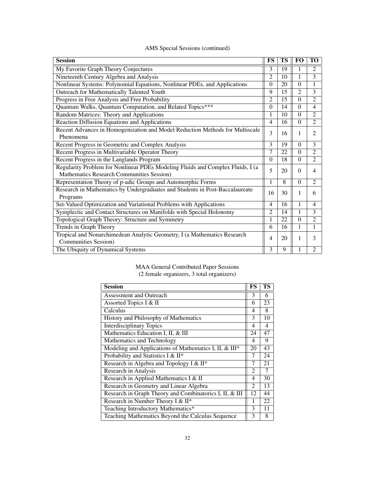| <b>Session</b>                                                                            | FS               | <b>TS</b> | FO             | <b>TO</b>      |
|-------------------------------------------------------------------------------------------|------------------|-----------|----------------|----------------|
| My Favorite Graph Theory Conjectures                                                      | 3                | 19        | 1              | 2              |
| Nineteenth Century Algebra and Analysis                                                   | 2                | 10        | 1              | 3              |
| Nonlinear Systems: Polynomial Equations, Nonlinear PDEs, and Applications                 | $\theta$         | 20        | $\Omega$       | 1              |
| Outreach for Mathematically Talented Youth                                                | 9                | 15        | $\overline{2}$ | 3              |
| Progress in Free Analysis and Free Probability                                            | $\overline{2}$   | 15        | $\Omega$       | $\overline{2}$ |
| Quantum Walks, Quantum Computation, and Related Topics***                                 | $\boldsymbol{0}$ | 14        | $\Omega$       | $\overline{4}$ |
| Random Matrices: Theory and Applications                                                  | 1                | 10        | $\Omega$       | $\overline{2}$ |
| Reaction Diffusion Equations and Applications                                             | $\overline{4}$   | 16        | $\Omega$       | $\overline{2}$ |
| Recent Advances in Homogenization and Model Reduction Methods for Multiscale<br>Phenomena | 3                | 16        | 1              | $\overline{2}$ |
| Recent Progress in Geometric and Complex Analysis                                         | 3                | 19        | $\Omega$       | 3              |
| Recent Progress in Multivariable Operator Theory                                          | 7                | 22        | $\Omega$       | $\overline{2}$ |
| Recent Progress in the Langlands Program                                                  | $\Omega$         | 18        | $\Omega$       | 2              |
| Regularity Problem for Nonlinear PDEs Modeling Fluids and Complex Fluids, I (a            | 5                | 20        | $\Omega$       |                |
| Mathematics Research Communities Session)                                                 |                  |           |                | 4              |
| Representation Theory of p-adic Groups and Automorphic Forms                              | 1                | 8         | $\overline{0}$ | $\overline{2}$ |
| Research in Mathematics by Undergraduates and Students in Post-Baccalaureate<br>Programs  | 16               | 30        | 1              | 6              |
| Set-Valued Optimization and Variational Problems with Applications                        | 4                | 16        | 1              | 4              |
| Symplectic and Contact Structures on Manifolds with Special Holonomy                      | $\overline{2}$   | 14        | 1              | 3              |
| Topological Graph Theory: Structure and Symmetry                                          | 1                | 22        | $\theta$       | $\overline{2}$ |
| Trends in Graph Theory                                                                    | 6                | 16        | 1              | 1              |
| Tropical and Nonarchimedean Analytic Geometry, I (a Mathematics Research                  | $\overline{4}$   | 20        |                | 3              |
| <b>Communities Session</b> )                                                              |                  |           | 1              |                |
| The Ubiquity of Dynamical Systems                                                         | 3                | 9         | 1              | $\overline{2}$ |

# AMS Special Sessions (continued)

## MAA General Contributed Paper Sessions (2 female organizers, 3 total organizers)

| <b>Session</b>                                          | FS                          | TS             |
|---------------------------------------------------------|-----------------------------|----------------|
| <b>Assessment and Outreach</b>                          | 3                           | 6              |
| Assorted Topics I & II                                  | 6                           | 23             |
| Calculus                                                | 4                           | 8              |
| History and Philosophy of Mathematics                   | 3                           | 10             |
| <b>Interdisciplinary Topics</b>                         | 4                           | 4              |
| Mathematics Education I, II, & III                      | 24                          | 47             |
| Mathematics and Technology                              | 4                           | 9              |
| Modeling and Applications of Mathematics I, II, & III*  | 20                          | 43             |
| Probability and Statistics I & II*                      | 7                           | 24             |
| Research in Algebra and Topology I & II*                | 7                           | 21             |
| Research in Analysis                                    | $\mathfrak{D}$              | $\overline{7}$ |
| Research in Applied Mathematics I & II                  | 4                           | 30             |
| Research in Geometry and Linear Algebra                 | $\mathcal{D}_{\mathcal{L}}$ | 13             |
| Research in Graph Theory and Combinatorics I, II, & III | 12                          | 44             |
| Research in Number Theory I & II*                       | 1                           | 22             |
| Teaching Introductory Mathematics*                      | 3                           | 11             |
| Teaching Mathematics Beyond the Calculus Sequence       | 3                           | 8              |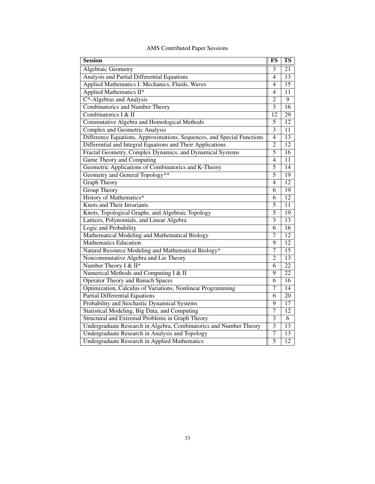| <b>Session</b>                                                         | FS                       | TS              |
|------------------------------------------------------------------------|--------------------------|-----------------|
| Algebraic Geometry                                                     | 3                        | 21              |
| Analysis and Partial Differential Equations                            | $\overline{\mathcal{L}}$ | $\overline{13}$ |
| Applied Mathematics I: Mechanics, Fluids, Waves                        | $\overline{4}$           | $\overline{15}$ |
| Applied Mathematics II*                                                | $\overline{4}$           | $\overline{11}$ |
| C*-Algebras and Analysis                                               | $\overline{2}$           | 9               |
| <b>Combinatorics and Number Theory</b>                                 | $\overline{3}$           | $\overline{16}$ |
| Combinatorics I & II                                                   | $\overline{12}$          | 29              |
| Commutative Algebra and Homological Methods                            | 5                        | 12              |
| <b>Complex and Geometric Analysis</b>                                  | $\overline{3}$           | $\overline{11}$ |
| Difference Equations, Approximations, Sequences, and Special Functions | $\overline{4}$           | $\overline{13}$ |
| Differential and Integral Equations and Their Applications             | $\overline{2}$           | 12              |
| Fractal Geometry, Complex Dynamics, and Dynamical Systems              | $\overline{5}$           | $\overline{16}$ |
| Game Theory and Computing                                              | $\overline{4}$           | 11              |
| Geometric Applications of Combinatorics and K-Theory                   | $\overline{5}$           | $\overline{14}$ |
| Geometry and General Topology**                                        | $\overline{5}$           | $\overline{19}$ |
| <b>Graph Theory</b>                                                    | 4                        | $\overline{12}$ |
| <b>Group Theory</b>                                                    | 6                        | $\overline{19}$ |
| History of Mathematics*                                                | 6                        | $\overline{12}$ |
| <b>Knots and Their Invariants</b>                                      | $\overline{5}$           | $\overline{11}$ |
| Knots, Topological Graphs, and Algebraic Topology                      | $\overline{5}$           | $\overline{19}$ |
| Lattices, Polynomials, and Linear Algebra                              | 3                        | 13              |
| Logic and Probability                                                  | 6                        | 16              |
| Mathematical Modeling and Mathematical Biology                         | 7                        | 12              |
| <b>Mathematics Education</b>                                           | 9                        | $\overline{12}$ |
| Natural Resource Modeling and Mathematical Biology*                    | 7                        | $\overline{15}$ |
| Noncommutative Algebra and Lie Theory                                  | $\overline{2}$           | 13              |
| Number Theory I & II*                                                  | 6                        | $\overline{22}$ |
| Numerical Methods and Computing I & II                                 | $\overline{9}$           | 22              |
| <b>Operator Theory and Banach Spaces</b>                               | $\overline{6}$           | $\overline{16}$ |
| Optimization, Calculus of Variations, Nonlinear Programming            | $\overline{7}$           | $\overline{14}$ |
| <b>Partial Differential Equations</b>                                  | $\overline{6}$           | $\overline{20}$ |
| Probability and Stochastic Dynamical Systems                           | 9                        | 17              |
| Statistical Modeling, Big Data, and Computing                          | $\overline{7}$           | 12              |
| Structural and Extremal Problems in Graph Theory                       | $\overline{3}$           | 6               |
| Undergraduate Research in Algebra, Combinatorics and Number Theory     | $\overline{3}$           | $\overline{13}$ |
| Undergraduate Research in Analysis and Topology                        | $\overline{7}$           | $\overline{13}$ |
| <b>Undergraduate Research in Applied Mathematics</b>                   | $\overline{5}$           | $\overline{12}$ |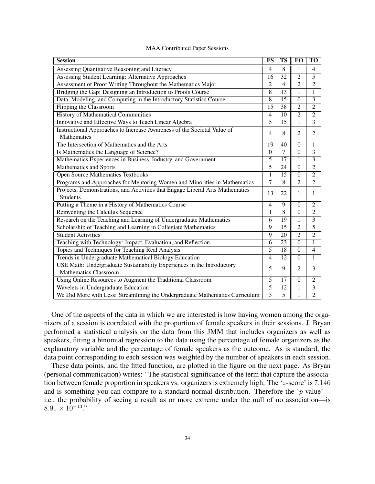| <b>Session</b>                                                                | FS              | <b>TS</b>       | <b>FO</b>        | <b>TO</b>      |
|-------------------------------------------------------------------------------|-----------------|-----------------|------------------|----------------|
| Assessing Quantitative Reasoning and Literacy                                 | $\overline{4}$  | 8               | 1                | $\overline{4}$ |
| <b>Assessing Student Learning: Alternative Approaches</b>                     | 16              | 32              | 2                | $\overline{5}$ |
| Assessment of Proof Writing Throughout the Mathematics Major                  | $\overline{2}$  | $\overline{4}$  | $\overline{2}$   | $\overline{2}$ |
| Bridging the Gap: Designing an Introduction to Proofs Course                  | $\overline{8}$  | $\overline{13}$ | $\mathbf{1}$     | $\mathbf{1}$   |
| Data, Modeling, and Computing in the Introductory Statistics Course           | $\overline{8}$  | $\overline{15}$ | $\boldsymbol{0}$ | $\overline{3}$ |
| <b>Flipping the Classroom</b>                                                 | $\overline{15}$ | 38              | $\overline{2}$   | $\overline{2}$ |
| <b>History of Mathematical Communities</b>                                    | $\overline{4}$  | 10              | $\overline{c}$   | $\overline{2}$ |
| Innovative and Effective Ways to Teach Linear Algebra                         | $\overline{5}$  | 15              | 1                | $\overline{3}$ |
| Instructional Approaches to Increase Awareness of the Societal Value of       | 4               | 8               | $\overline{2}$   | $\overline{2}$ |
| Mathematics                                                                   |                 |                 |                  |                |
| The Intersection of Mathematics and the Arts                                  | 19              | 40              | $\theta$         | 1              |
| Is Mathematics the Language of Science?                                       | $\theta$        | 7               | $\theta$         | 3              |
| Mathematics Experiences in Business, Industry, and Government                 | $\overline{5}$  | $\overline{17}$ | 1                | $\overline{3}$ |
| Mathematics and Sports                                                        | 5               | 24              | $\theta$         | $\overline{2}$ |
| <b>Open Source Mathematics Textbooks</b>                                      | $\mathbf{1}$    | 15              | $\boldsymbol{0}$ | $\overline{2}$ |
| Programs and Approaches for Mentoring Women and Minorities in Mathematics     | $\overline{7}$  | 8               | $\overline{2}$   | $\overline{2}$ |
| Projects, Demonstrations, and Activities that Engage Liberal Arts Mathematics | 13              | 22              | 1                | 1              |
| <b>Students</b>                                                               |                 |                 |                  |                |
| Putting a Theme in a History of Mathematics Course                            | $\overline{4}$  | 9               | $\overline{0}$   | $\overline{2}$ |
| Reinventing the Calculus Sequence                                             | $\mathbf{1}$    | 8               | $\overline{0}$   | $\overline{2}$ |
| Research on the Teaching and Learning of Undergraduate Mathematics            | 6               | 19              | $\mathbf{1}$     | $\overline{3}$ |
| Scholarship of Teaching and Learning in Collegiate Mathematics                | $\overline{9}$  | $\overline{15}$ | $\overline{c}$   | $\overline{5}$ |
| <b>Student Activities</b>                                                     | $\overline{9}$  | $\overline{20}$ | $\overline{2}$   | $\overline{2}$ |
| Teaching with Technology: Impact, Evaluation, and Reflection                  | $\overline{6}$  | 23              | $\overline{0}$   | $\overline{1}$ |
| Topics and Techniques for Teaching Real Analysis                              | $\overline{5}$  | 18              | $\boldsymbol{0}$ | $\overline{4}$ |
| Trends in Undergraduate Mathematical Biology Education                        | $\overline{4}$  | $\overline{12}$ | $\Omega$         | $\mathbf{1}$   |
| USE Math: Undergraduate Sustainability Experiences in the Introductory        | 5               | 9               | $\overline{2}$   | 3              |
| <b>Mathematics Classroom</b>                                                  |                 |                 |                  |                |
| Using Online Resources to Augment the Traditional Classroom                   | $\overline{5}$  | 17              | $\Omega$         | $\overline{2}$ |
| Wavelets in Undergraduate Education                                           | $\overline{5}$  | 12              | 1                | $\overline{3}$ |
| We Did More with Less: Streamlining the Undergraduate Mathematics Curriculum  | $\overline{3}$  | $\overline{5}$  | 1                | $\overline{2}$ |

#### MAA Contributed Paper Sessions

One of the aspects of the data in which we are interested is how having women among the organizers of a session is correlated with the proportion of female speakers in their sessions. J. Bryan performed a statistical analysis on the data from this JMM that includes organizers as well as speakers, fitting a binomial regression to the data using the percentage of female organizers as the explanatory variable and the percentage of female speakers as the outcome. As is standard, the data point corresponding to each session was weighted by the number of speakers in each session.

These data points, and the fitted function, are plotted in the figure on the next page. As Bryan (personal communication) writes: "The statistical significance of the term that capture the association between female proportion in speakers vs. organizers is extremely high. The 'z-score' is 7.146 and is something you can compare to a standard normal distribution. Therefore the 'p-value' i.e., the probability of seeing a result as or more extreme under the null of no association—is  $8.91\times10^{-13}$ ."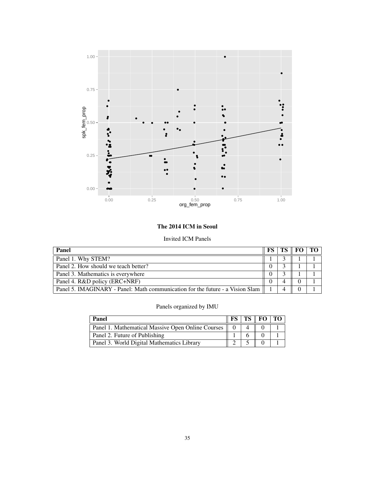

# The 2014 ICM in Seoul

# Invited ICM Panels

| Panel                                                                         | FS | TS |  |
|-------------------------------------------------------------------------------|----|----|--|
| Panel 1. Why STEM?                                                            |    |    |  |
| Panel 2. How should we teach better?                                          |    |    |  |
| Panel 3. Mathematics is everywhere                                            |    |    |  |
| Panel 4. R&D policy (ERC+NRF)                                                 |    |    |  |
| Panel 5. IMAGINARY - Panel: Math communication for the future - a Vision Slam |    | 4  |  |

# Panels organized by IMU

| Panel                                                 |  | $FS$   TS    FO    TO |  |
|-------------------------------------------------------|--|-----------------------|--|
| Panel 1. Mathematical Massive Open Online Courses   0 |  |                       |  |
| Panel 2. Future of Publishing                         |  |                       |  |
| Panel 3. World Digital Mathematics Library            |  |                       |  |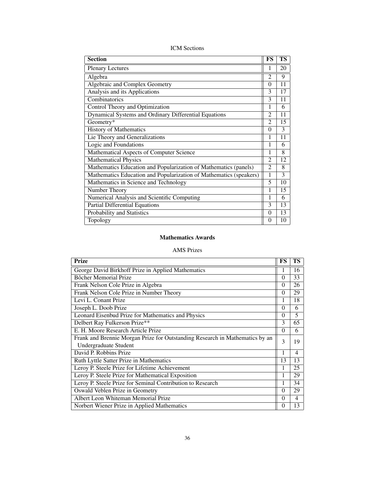## ICM Sections

| <b>Section</b>                                                     | FS                          | TS |
|--------------------------------------------------------------------|-----------------------------|----|
| <b>Plenary Lectures</b>                                            |                             | 20 |
| Algebra                                                            | $\mathfrak{D}$              | 9  |
| Algebraic and Complex Geometry                                     | $\theta$                    | 11 |
| Analysis and its Applications                                      | 3                           | 17 |
| Combinatorics                                                      | 3                           | 11 |
| Control Theory and Optimization                                    | 1                           | 6  |
| Dynamical Systems and Ordinary Differential Equations              | $\mathfrak{D}$              | 11 |
| Geometry*                                                          | $\mathfrak{D}$              | 15 |
| <b>History of Mathematics</b>                                      | 0                           | 3  |
| Lie Theory and Generalizations                                     | 1                           | 11 |
| Logic and Foundations                                              |                             | 6  |
| Mathematical Aspects of Computer Science                           | 1                           | 8  |
| <b>Mathematical Physics</b>                                        | $\mathcal{D}_{\mathcal{A}}$ | 12 |
| Mathematics Education and Popularization of Mathematics (panels)   | $\mathfrak{D}$              | 8  |
| Mathematics Education and Popularization of Mathematics (speakers) | 1                           | 3  |
| Mathematics in Science and Technology                              | 5                           | 10 |
| Number Theory                                                      |                             | 15 |
| Numerical Analysis and Scientific Computing                        | 1                           | 6  |
| Partial Differential Equations                                     | 3                           | 13 |
| Probability and Statistics                                         | $\Omega$                    | 13 |
| Topology                                                           | 0                           | 10 |

## Mathematics Awards

### AMS Prizes

| <b>Prize</b>                                                                 | FS       | <b>TS</b> |
|------------------------------------------------------------------------------|----------|-----------|
| George David Birkhoff Prize in Applied Mathematics                           | 1        | 16        |
| Bôcher Memorial Prize                                                        | $\Omega$ | 33        |
| Frank Nelson Cole Prize in Algebra                                           | $\Omega$ | 26        |
| Frank Nelson Cole Prize in Number Theory                                     | $\theta$ | 29        |
| Levi L. Conant Prize                                                         | 1        | 18        |
| Joseph L. Doob Prize                                                         | $\theta$ | 6         |
| Leonard Eisenbud Prize for Mathematics and Physics                           | $\Omega$ | 5         |
| Delbert Ray Fulkerson Prize**                                                | 3        | 65        |
| E. H. Moore Research Article Prize                                           | $\theta$ | 6         |
| Frank and Brennie Morgan Prize for Outstanding Research in Mathematics by an | 3        | 19        |
| Undergraduate Student                                                        |          |           |
| David P. Robbins Prize                                                       | 1        | 4         |
| Ruth Lyttle Satter Prize in Mathematics                                      | 13       | 13        |
| Leroy P. Steele Prize for Lifetime Achievement                               | 1        | 25        |
| Leroy P. Steele Prize for Mathematical Exposition                            | 1        | 29        |
| Leroy P. Steele Prize for Seminal Contribution to Research                   | 1        | 34        |
| Oswald Veblen Prize in Geometry                                              | $\Omega$ | 29        |
| Albert Leon Whiteman Memorial Prize                                          | $\Omega$ | 4         |
| Norbert Wiener Prize in Applied Mathematics                                  | $\Omega$ | 13        |